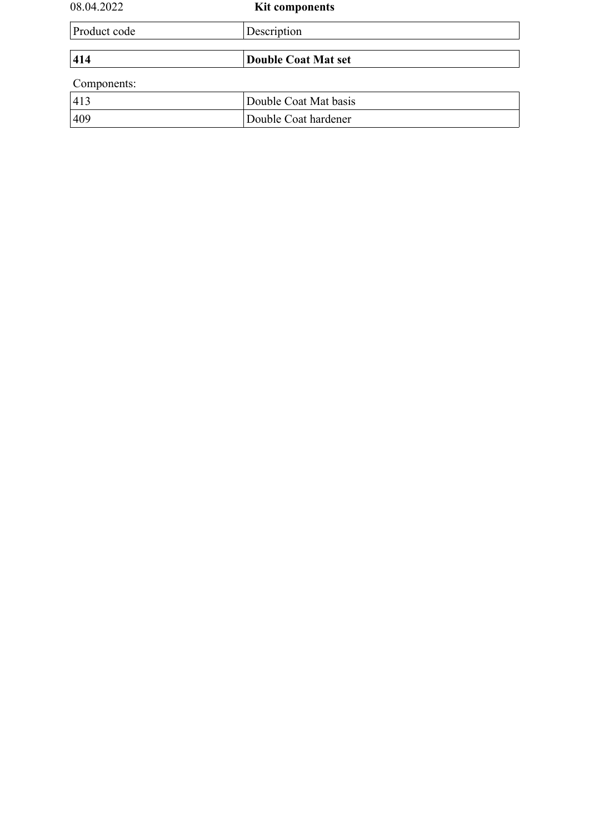| 08.04.2022   | <b>Kit components</b>      |  |
|--------------|----------------------------|--|
| Product code | Description                |  |
| 414          | <b>Double Coat Mat set</b> |  |
| Components:  |                            |  |
| 413          | Double Coat Mat basis      |  |
| 409          | Double Coat hardener       |  |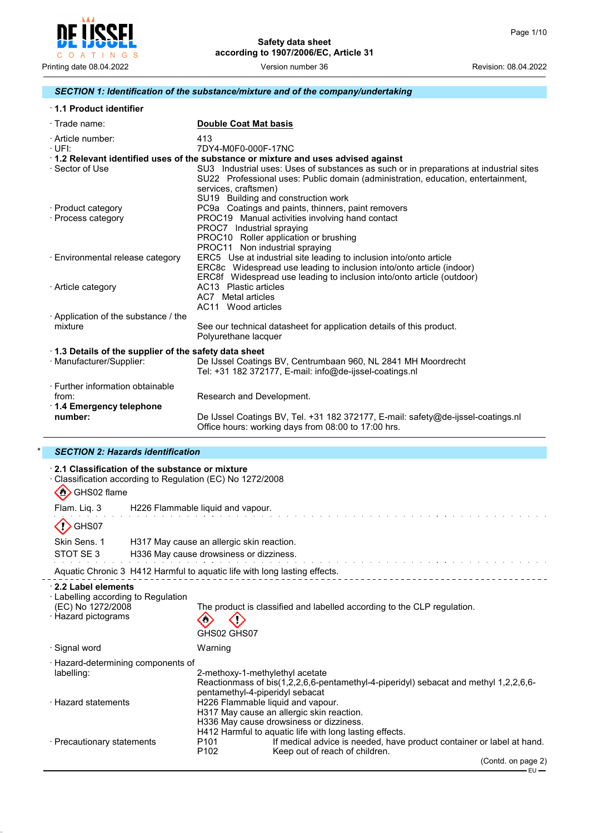

# *SECTION 1: Identification of the substance/mixture and of the company/undertaking*

| 1.1 Product identifier |
|------------------------|
|------------------------|

| $\cdot$ Trade name:                                  | <b>Double Coat Mat basis</b>                                                                                                                                                                       |  |  |
|------------------------------------------------------|----------------------------------------------------------------------------------------------------------------------------------------------------------------------------------------------------|--|--|
| · Article number:                                    | 413                                                                                                                                                                                                |  |  |
| $\cdot$ UFI:                                         | 7DY4-M0F0-000F-17NC                                                                                                                                                                                |  |  |
|                                                      | 1.2 Relevant identified uses of the substance or mixture and uses advised against                                                                                                                  |  |  |
| · Sector of Use                                      | SU3 Industrial uses: Uses of substances as such or in preparations at industrial sites<br>SU22 Professional uses: Public domain (administration, education, entertainment,<br>services, craftsmen) |  |  |
|                                                      | SU19 Building and construction work                                                                                                                                                                |  |  |
| · Product category                                   | PC9a Coatings and paints, thinners, paint removers                                                                                                                                                 |  |  |
| · Process category                                   | PROC19 Manual activities involving hand contact                                                                                                                                                    |  |  |
|                                                      | PROC7 Industrial spraying                                                                                                                                                                          |  |  |
|                                                      | PROC10 Roller application or brushing                                                                                                                                                              |  |  |
|                                                      | PROC11 Non industrial spraying                                                                                                                                                                     |  |  |
| · Environmental release category                     | ERC5 Use at industrial site leading to inclusion into/onto article                                                                                                                                 |  |  |
|                                                      | ERC8c Widespread use leading to inclusion into/onto article (indoor)                                                                                                                               |  |  |
|                                                      | ERC8f Widespread use leading to inclusion into/onto article (outdoor)                                                                                                                              |  |  |
| · Article category                                   | AC13 Plastic articles<br>AC7 Metal articles                                                                                                                                                        |  |  |
|                                                      | AC11 Wood articles                                                                                                                                                                                 |  |  |
| Application of the substance / the                   |                                                                                                                                                                                                    |  |  |
| mixture                                              |                                                                                                                                                                                                    |  |  |
|                                                      | See our technical datasheet for application details of this product.<br>Polyurethane lacquer                                                                                                       |  |  |
| 1.3 Details of the supplier of the safety data sheet |                                                                                                                                                                                                    |  |  |
| · Manufacturer/Supplier:                             | De IJssel Coatings BV, Centrumbaan 960, NL 2841 MH Moordrecht                                                                                                                                      |  |  |
|                                                      | Tel: +31 182 372177, E-mail: info@de-ijssel-coatings.nl                                                                                                                                            |  |  |
| ⋅ Further information obtainable                     |                                                                                                                                                                                                    |  |  |
| from:                                                | Research and Development.                                                                                                                                                                          |  |  |
| 1.4 Emergency telephone                              |                                                                                                                                                                                                    |  |  |
| number:                                              | De IJssel Coatings BV, Tel. +31 182 372177, E-mail: safety@de-ijssel-coatings.nl                                                                                                                   |  |  |
|                                                      | Office hours: working days from 08:00 to 17:00 hrs.                                                                                                                                                |  |  |

# \* *SECTION 2: Hazards identification*

| ⋅ 2.1 Classification of the substance or mixture<br>· Classification according to Regulation (EC) No 1272/2008<br>SHS02 flame |                                           |                                                                                                                                                                                      |
|-------------------------------------------------------------------------------------------------------------------------------|-------------------------------------------|--------------------------------------------------------------------------------------------------------------------------------------------------------------------------------------|
| Flam. Liq. 3                                                                                                                  | H226 Flammable liquid and vapour.         |                                                                                                                                                                                      |
| GHS07                                                                                                                         |                                           |                                                                                                                                                                                      |
| Skin Sens. 1                                                                                                                  | H317 May cause an allergic skin reaction. |                                                                                                                                                                                      |
| STOT SE3                                                                                                                      | H336 May cause drowsiness or dizziness.   |                                                                                                                                                                                      |
|                                                                                                                               |                                           | Aquatic Chronic 3 H412 Harmful to aquatic life with long lasting effects.                                                                                                            |
| 2.2 Label elements<br>· Labelling according to Regulation<br>(EC) No 1272/2008<br>· Hazard pictograms                         | GHS02 GHS07                               | The product is classified and labelled according to the CLP regulation.                                                                                                              |
| · Signal word                                                                                                                 | Warning                                   |                                                                                                                                                                                      |
| · Hazard-determining components of<br>labelling:                                                                              |                                           | 2-methoxy-1-methylethyl acetate<br>Reactionmass of bis(1,2,2,6,6-pentamethyl-4-piperidyl) sebacat and methyl 1,2,2,6,6-<br>pentamethyl-4-piperidyl sebacat                           |
| · Hazard statements                                                                                                           |                                           | H226 Flammable liquid and vapour.<br>H317 May cause an allergic skin reaction.<br>H336 May cause drowsiness or dizziness.<br>H412 Harmful to aquatic life with long lasting effects. |
| · Precautionary statements                                                                                                    | P <sub>101</sub>                          | If medical advice is needed, have product container or label at hand.                                                                                                                |
|                                                                                                                               | P <sub>102</sub>                          | Keep out of reach of children.<br>(Contd. on page 2)<br>- EU —                                                                                                                       |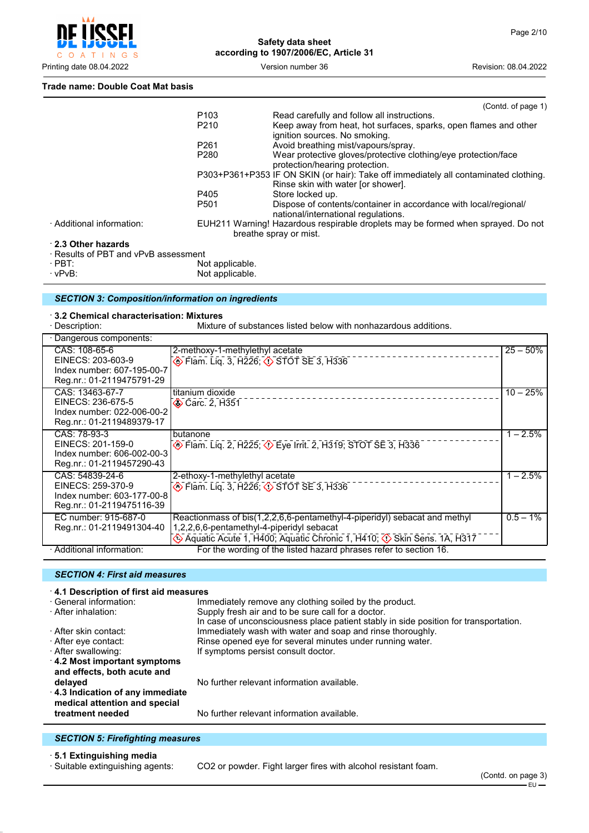

#### **Trade name: Double Coat Mat basis**

|                                      |                  | (Contd. of page 1)                                                                                                         |
|--------------------------------------|------------------|----------------------------------------------------------------------------------------------------------------------------|
|                                      | P <sub>103</sub> | Read carefully and follow all instructions.                                                                                |
|                                      | P <sub>210</sub> | Keep away from heat, hot surfaces, sparks, open flames and other<br>ignition sources. No smoking.                          |
|                                      | P <sub>261</sub> | Avoid breathing mist/vapours/spray.                                                                                        |
|                                      | P <sub>280</sub> | Wear protective gloves/protective clothing/eye protection/face<br>protection/hearing protection.                           |
|                                      |                  | P303+P361+P353 IF ON SKIN (or hair): Take off immediately all contaminated clothing.<br>Rinse skin with water [or shower]. |
|                                      | P405             | Store locked up.                                                                                                           |
|                                      | P <sub>501</sub> | Dispose of contents/container in accordance with local/regional/<br>national/international regulations.                    |
| · Additional information:            |                  | EUH211 Warning! Hazardous respirable droplets may be formed when sprayed. Do not<br>breathe spray or mist.                 |
| 2.3 Other hazards                    |                  |                                                                                                                            |
| · Results of PBT and vPvB assessment |                  |                                                                                                                            |

· PBT: Not applicable. Not applicable.

#### *SECTION 3: Composition/information on ingredients*

#### · **3.2 Chemical characterisation: Mixtures**

· Description: Mixture of substances listed below with nonhazardous additions.

| · Dangerous components:                                 |                                                                                   |             |
|---------------------------------------------------------|-----------------------------------------------------------------------------------|-------------|
| CAS: 108-65-6                                           | 2-methoxy-1-methylethyl acetate                                                   | $25 - 50%$  |
| EINECS: 203-603-9                                       | <b>Elam.</b> Liq. 3, H226; <b>O</b> STOT SE 3, H336                               |             |
| Index number: 607-195-00-7                              |                                                                                   |             |
| Reg.nr.: 01-2119475791-29                               |                                                                                   |             |
| CAS: 13463-67-7                                         | titanium dioxide                                                                  | $10 - 25%$  |
| EINECS: 236-675-5                                       | Carc. 2, H351                                                                     |             |
| Index number: 022-006-00-2                              |                                                                                   |             |
| Reg.nr.: 01-2119489379-17                               |                                                                                   |             |
| CAS: 78-93-3                                            | butanone                                                                          | $1 - 2.5%$  |
| EINECS: 201-159-0                                       | <b>Example 2, H225; <math>\Diamond</math> Eye Irrit. 2, H319; STOT SE 3, H336</b> |             |
| Index number: 606-002-00-3                              |                                                                                   |             |
| Reg.nr.: 01-2119457290-43                               |                                                                                   |             |
| CAS: 54839-24-6                                         | 2-ethoxy-1-methylethyl acetate                                                    | $1 - 2.5%$  |
| EINECS: 259-370-9                                       | ♦ Flam. Liq. 3, H226; ♦ STOT SE 3, H336                                           |             |
| Index number: 603-177-00-8<br>Reg.nr.: 01-2119475116-39 |                                                                                   |             |
|                                                         |                                                                                   |             |
| EC number: 915-687-0                                    | Reactionmass of bis(1,2,2,6,6-pentamethyl-4-piperidyl) sebacat and methyl         | $0.5 - 1\%$ |
| Reg.nr.: 01-2119491304-40                               | 1,2,2,6,6-pentamethyl-4-piperidyl sebacat                                         |             |
|                                                         | Aquatic Acute 1, H400; Aquatic Chronic 1, H410; $\Diamond$ Skin Sens. 1A, H317    |             |
| · Additional information:                               | For the wording of the listed hazard phrases refer to section 16.                 |             |

#### *SECTION 4: First aid measures*

## · **4.1 Description of first aid measures** · General information: Immediately remove any clothing soiled by the product.<br>· After inhalation: Supply fresh air and to be sure call for a doctor. Supply fresh air and to be sure call for a doctor. In case of unconsciousness place patient stably in side position for transportation. · After skin contact: Immediately wash with water and soap and rinse thoroughly. Rinse opened eye for several minutes under running water. · After swallowing: The Matter of the Symptoms persist consult doctor. · **4.2 Most important symptoms and effects, both acute and delayed delayed notation** No further relevant information available. · **4.3 Indication of any immediate medical attention and special treatment needed** No further relevant information available.

#### *SECTION 5: Firefighting measures*

· **5.1 Extinguishing media**

CO2 or powder. Fight larger fires with alcohol resistant foam.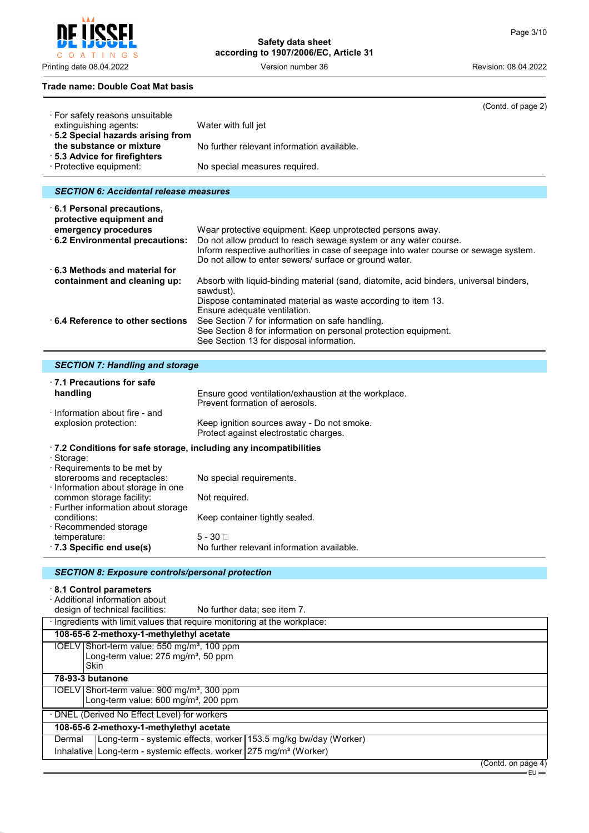$\mathsf{C}$ O A T I N G S

# **Safety data sheet according to 1907/2006/EC, Article 31**

Printing date 08.04.2022 Version number 36 Revision: 08.04.2022

#### **Trade name: Double Coat Mat basis**

|                                                                               | (Contd. of page 2)                                                                                                                                                                                                                                                              |
|-------------------------------------------------------------------------------|---------------------------------------------------------------------------------------------------------------------------------------------------------------------------------------------------------------------------------------------------------------------------------|
| · For safety reasons unsuitable<br>extinguishing agents:                      | Water with full jet                                                                                                                                                                                                                                                             |
| · 5.2 Special hazards arising from<br>the substance or mixture                | No further relevant information available.                                                                                                                                                                                                                                      |
| ⋅ 5.3 Advice for firefighters<br>· Protective equipment:                      | No special measures required.                                                                                                                                                                                                                                                   |
| <b>SECTION 6: Accidental release measures</b>                                 |                                                                                                                                                                                                                                                                                 |
|                                                                               |                                                                                                                                                                                                                                                                                 |
| 6.1 Personal precautions,<br>protective equipment and<br>emergency procedures |                                                                                                                                                                                                                                                                                 |
| 6.2 Environmental precautions:                                                | Wear protective equipment. Keep unprotected persons away.<br>Do not allow product to reach sewage system or any water course.<br>Inform respective authorities in case of seepage into water course or sewage system.<br>Do not allow to enter sewers/ surface or ground water. |

| $\cdot$ 6.3 Methods and material for    |                                                                                                     |
|-----------------------------------------|-----------------------------------------------------------------------------------------------------|
| containment and cleaning up:            | Absorb with liquid-binding material (sand, diatomite, acid binders, universal binders,<br>sawdust). |
|                                         | Dispose contaminated material as waste according to item 13.                                        |
|                                         | Ensure adequate ventilation.                                                                        |
| $\cdot$ 6.4 Reference to other sections | See Section 7 for information on safe handling.                                                     |
|                                         | See Section 8 for information on personal protection equipment.                                     |
|                                         | See Section 13 for disposal information.                                                            |

| SECTION 7: Handling and storage |  |
|---------------------------------|--|
|                                 |  |

| $\cdot$ 7.1 Precautions for safe<br>handling<br>Information about fire - and                                                | Ensure good ventilation/exhaustion at the workplace.<br>Prevent formation of aerosols. |
|-----------------------------------------------------------------------------------------------------------------------------|----------------------------------------------------------------------------------------|
| explosion protection:                                                                                                       | Keep ignition sources away - Do not smoke.<br>Protect against electrostatic charges.   |
| $\cdot$ 7.2 Conditions for safe storage, including any incompatibilities<br>· Storage:<br>$\cdot$ Requirements to be met by |                                                                                        |
| storerooms and receptacles:<br>Information about storage in one                                                             | No special requirements.                                                               |
| common storage facility:<br>· Further information about storage                                                             | Not required.                                                                          |
| conditions:<br>$\cdot$ Recommended storage                                                                                  | Keep container tightly sealed.                                                         |
| temperature:<br>$\cdot$ 7.3 Specific end use(s)                                                                             | $5 - 30 \square$<br>No further relevant information available.                         |

# *SECTION 8: Exposure controls/personal protection*

# · **8.1 Control parameters**

· Additional information about

design of technical facilities: No further data; see item 7.

| · Ingredients with limit values that require monitoring at the workplace: |                                                                                                             |  |                      |
|---------------------------------------------------------------------------|-------------------------------------------------------------------------------------------------------------|--|----------------------|
|                                                                           | 108-65-6 2-methoxy-1-methylethyl acetate                                                                    |  |                      |
| <b>Skin</b>                                                               | IOELV Short-term value: 550 mg/m <sup>3</sup> , 100 ppm<br>Long-term value: 275 mg/m <sup>3</sup> , 50 ppm  |  |                      |
| 78-93-3 butanone                                                          |                                                                                                             |  |                      |
|                                                                           | IOELV Short-term value: 900 mg/m <sup>3</sup> , 300 ppm<br>Long-term value: 600 mg/m <sup>3</sup> , 200 ppm |  |                      |
|                                                                           | · DNEL (Derived No Effect Level) for workers                                                                |  |                      |
|                                                                           | 108-65-6 2-methoxy-1-methylethyl acetate                                                                    |  |                      |
| Dermal                                                                    | Long-term - systemic effects, worker 153.5 mg/kg bw/day (Worker)                                            |  |                      |
|                                                                           | Inhalative   Long-term - systemic effects, worker   275 mg/m <sup>3</sup> (Worker)                          |  |                      |
|                                                                           |                                                                                                             |  | (Constant on none 1) |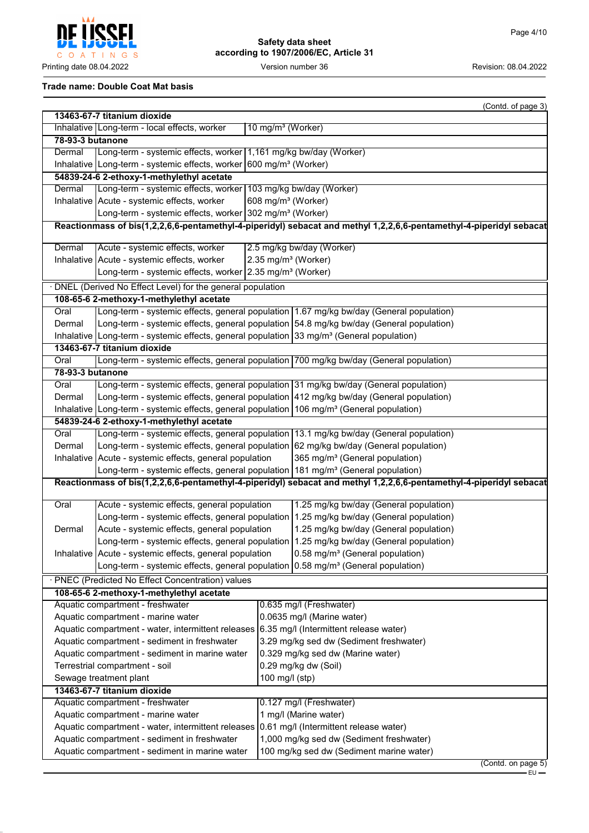**CCFI** Į C O A T I N G S

# **Safety data sheet according to 1907/2006/EC, Article 31**

Printing date 08.04.2022 **Version number 36** Version number 36 Revision: 08.04.2022

## **Trade name: Double Coat Mat basis**

|                                                                                          |                                                                                                                                                               |                                   | (Contd. of page 3)                                                                                                  |  |
|------------------------------------------------------------------------------------------|---------------------------------------------------------------------------------------------------------------------------------------------------------------|-----------------------------------|---------------------------------------------------------------------------------------------------------------------|--|
|                                                                                          | 13463-67-7 titanium dioxide                                                                                                                                   |                                   |                                                                                                                     |  |
|                                                                                          | Inhalative Long-term - local effects, worker<br>10 mg/m <sup>3</sup> (Worker)                                                                                 |                                   |                                                                                                                     |  |
| 78-93-3 butanone                                                                         |                                                                                                                                                               |                                   |                                                                                                                     |  |
| Dermal                                                                                   | Long-term - systemic effects, worker 1,161 mg/kg bw/day (Worker)                                                                                              |                                   |                                                                                                                     |  |
|                                                                                          | Inhalative Long-term - systemic effects, worker 600 mg/m <sup>3</sup> (Worker)                                                                                |                                   |                                                                                                                     |  |
|                                                                                          | 54839-24-6 2-ethoxy-1-methylethyl acetate                                                                                                                     |                                   |                                                                                                                     |  |
| Dermal                                                                                   | Long-term - systemic effects, worker 103 mg/kg bw/day (Worker)                                                                                                |                                   |                                                                                                                     |  |
|                                                                                          | Inhalative   Acute - systemic effects, worker                                                                                                                 | 608 mg/m <sup>3</sup> (Worker)    |                                                                                                                     |  |
|                                                                                          | Long-term - systemic effects, worker 302 mg/m <sup>3</sup> (Worker)                                                                                           |                                   |                                                                                                                     |  |
|                                                                                          |                                                                                                                                                               |                                   | Reactionmass of bis(1,2,2,6,6-pentamethyl-4-piperidyl) sebacat and methyl 1,2,2,6,6-pentamethyl-4-piperidyl sebacat |  |
| Dermal                                                                                   | Acute - systemic effects, worker                                                                                                                              |                                   | 2.5 mg/kg bw/day (Worker)                                                                                           |  |
|                                                                                          | Inhalative   Acute - systemic effects, worker                                                                                                                 |                                   | 2.35 mg/m <sup>3</sup> (Worker)                                                                                     |  |
|                                                                                          | Long-term - systemic effects, worker 2.35 mg/m <sup>3</sup> (Worker)                                                                                          |                                   |                                                                                                                     |  |
|                                                                                          | DNEL (Derived No Effect Level) for the general population                                                                                                     |                                   |                                                                                                                     |  |
|                                                                                          | 108-65-6 2-methoxy-1-methylethyl acetate                                                                                                                      |                                   |                                                                                                                     |  |
| Oral                                                                                     |                                                                                                                                                               |                                   | Long-term - systemic effects, general population 1.67 mg/kg bw/day (General population)                             |  |
| Dermal                                                                                   |                                                                                                                                                               |                                   | Long-term - systemic effects, general population 54.8 mg/kg bw/day (General population)                             |  |
|                                                                                          | Inhalative Long-term - systemic effects, general population $33 \text{ mg/m}^3$ (General population)                                                          |                                   |                                                                                                                     |  |
|                                                                                          | 13463-67-7 titanium dioxide                                                                                                                                   |                                   |                                                                                                                     |  |
|                                                                                          |                                                                                                                                                               |                                   |                                                                                                                     |  |
| Oral                                                                                     |                                                                                                                                                               |                                   | Long-term - systemic effects, general population 700 mg/kg bw/day (General population)                              |  |
| 78-93-3 butanone                                                                         |                                                                                                                                                               |                                   |                                                                                                                     |  |
| Oral                                                                                     | Long-term - systemic effects, general population 31 mg/kg bw/day (General population)                                                                         |                                   |                                                                                                                     |  |
| Dermal                                                                                   |                                                                                                                                                               |                                   | Long-term - systemic effects, general population 412 mg/kg bw/day (General population)                              |  |
|                                                                                          | Inhalative Long-term - systemic effects, general population $106$ mg/m <sup>3</sup> (General population)                                                      |                                   |                                                                                                                     |  |
|                                                                                          | 54839-24-6 2-ethoxy-1-methylethyl acetate                                                                                                                     |                                   |                                                                                                                     |  |
| Oral                                                                                     |                                                                                                                                                               |                                   | Long-term - systemic effects, general population 13.1 mg/kg bw/day (General population)                             |  |
| Dermal                                                                                   | Long-term - systemic effects, general population 62 mg/kg bw/day (General population)                                                                         |                                   |                                                                                                                     |  |
|                                                                                          | 365 mg/m <sup>3</sup> (General population)<br>Inhalative   Acute - systemic effects, general population                                                       |                                   |                                                                                                                     |  |
|                                                                                          | Long-term - systemic effects, general population 181 mg/m <sup>3</sup> (General population)                                                                   |                                   |                                                                                                                     |  |
|                                                                                          |                                                                                                                                                               |                                   | Reactionmass of bis(1,2,2,6,6-pentamethyl-4-piperidyl) sebacat and methyl 1,2,2,6,6-pentamethyl-4-piperidyl sebacat |  |
| Oral                                                                                     | Acute - systemic effects, general population                                                                                                                  |                                   | 1.25 mg/kg bw/day (General population)                                                                              |  |
|                                                                                          |                                                                                                                                                               |                                   | Long-term - systemic effects, general population 1.25 mg/kg bw/day (General population)                             |  |
| Dermal                                                                                   | Acute - systemic effects, general population                                                                                                                  |                                   | 1.25 mg/kg bw/day (General population)                                                                              |  |
|                                                                                          |                                                                                                                                                               |                                   | Long-term - systemic effects, general population 1.25 mg/kg bw/day (General population)                             |  |
|                                                                                          | Inhalative Acute - systemic effects, general population                                                                                                       |                                   | 0.58 mg/m <sup>3</sup> (General population)                                                                         |  |
|                                                                                          | Long-term - systemic effects, general population $0.58$ mg/m <sup>3</sup> (General population)                                                                |                                   |                                                                                                                     |  |
|                                                                                          | · PNEC (Predicted No Effect Concentration) values                                                                                                             |                                   |                                                                                                                     |  |
| 108-65-6 2-methoxy-1-methylethyl acetate                                                 |                                                                                                                                                               |                                   |                                                                                                                     |  |
| Aquatic compartment - freshwater<br>0.635 mg/l (Freshwater)                              |                                                                                                                                                               |                                   |                                                                                                                     |  |
|                                                                                          |                                                                                                                                                               |                                   |                                                                                                                     |  |
|                                                                                          | Aquatic compartment - marine water<br>0.0635 mg/l (Marine water)<br>Aquatic compartment - water, intermittent releases 6.35 mg/l (Intermittent release water) |                                   |                                                                                                                     |  |
|                                                                                          |                                                                                                                                                               |                                   |                                                                                                                     |  |
|                                                                                          | 3.29 mg/kg sed dw (Sediment freshwater)<br>Aquatic compartment - sediment in freshwater                                                                       |                                   |                                                                                                                     |  |
| Aquatic compartment - sediment in marine water                                           |                                                                                                                                                               | 0.329 mg/kg sed dw (Marine water) |                                                                                                                     |  |
|                                                                                          | Terrestrial compartment - soil<br>Sewage treatment plant                                                                                                      |                                   | 0.29 mg/kg dw (Soil)<br>100 mg/l (stp)                                                                              |  |
|                                                                                          |                                                                                                                                                               |                                   |                                                                                                                     |  |
|                                                                                          | 13463-67-7 titanium dioxide                                                                                                                                   |                                   |                                                                                                                     |  |
|                                                                                          | Aquatic compartment - freshwater                                                                                                                              |                                   | 0.127 mg/l (Freshwater)                                                                                             |  |
|                                                                                          | Aquatic compartment - marine water                                                                                                                            |                                   | 1 mg/l (Marine water)                                                                                               |  |
|                                                                                          | 0.61 mg/l (Intermittent release water)<br>Aquatic compartment - water, intermittent releases                                                                  |                                   |                                                                                                                     |  |
| Aquatic compartment - sediment in freshwater<br>1,000 mg/kg sed dw (Sediment freshwater) |                                                                                                                                                               |                                   |                                                                                                                     |  |
|                                                                                          | Aquatic compartment - sediment in marine water<br>100 mg/kg sed dw (Sediment marine water)<br>$($ Contd. on page $5)$                                         |                                   |                                                                                                                     |  |
|                                                                                          |                                                                                                                                                               |                                   |                                                                                                                     |  |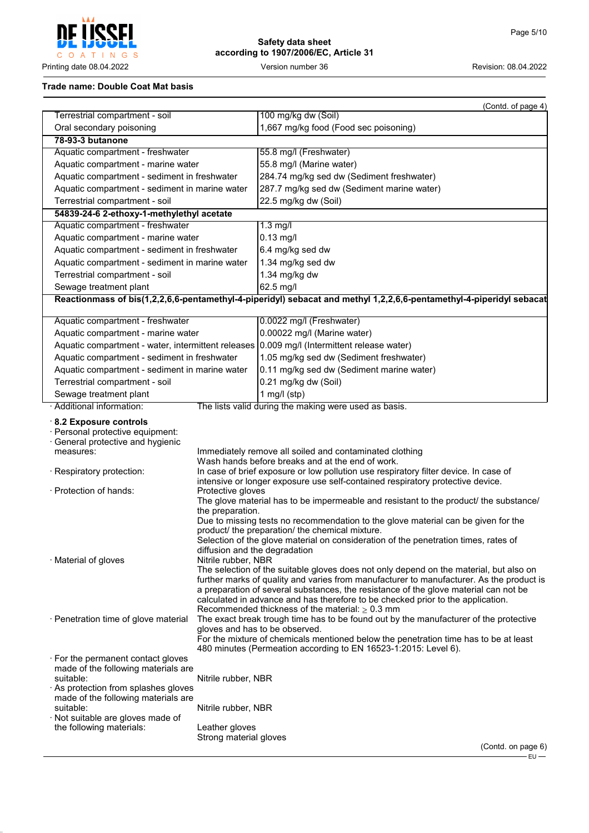**CCFI**  $\overline{1}$ r na COATINGS

# **Safety data sheet according to 1907/2006/EC, Article 31**

Printing date 08.04.2022 **Version number 36** Version number 36 Revision: 08.04.2022

## **Trade name: Double Coat Mat basis**

|                                                                                                                                                                                                |                                                      | (Contd. of page 4)                                                                                                                                                                                                                                                                                                                                                                                                                                 |
|------------------------------------------------------------------------------------------------------------------------------------------------------------------------------------------------|------------------------------------------------------|----------------------------------------------------------------------------------------------------------------------------------------------------------------------------------------------------------------------------------------------------------------------------------------------------------------------------------------------------------------------------------------------------------------------------------------------------|
| Terrestrial compartment - soil                                                                                                                                                                 |                                                      | 100 mg/kg dw (Soil)                                                                                                                                                                                                                                                                                                                                                                                                                                |
| Oral secondary poisoning                                                                                                                                                                       |                                                      | 1,667 mg/kg food (Food sec poisoning)                                                                                                                                                                                                                                                                                                                                                                                                              |
| 78-93-3 butanone                                                                                                                                                                               |                                                      |                                                                                                                                                                                                                                                                                                                                                                                                                                                    |
| Aquatic compartment - freshwater                                                                                                                                                               |                                                      | 55.8 mg/l (Freshwater)                                                                                                                                                                                                                                                                                                                                                                                                                             |
| Aquatic compartment - marine water                                                                                                                                                             |                                                      | 55.8 mg/l (Marine water)                                                                                                                                                                                                                                                                                                                                                                                                                           |
| Aquatic compartment - sediment in freshwater                                                                                                                                                   |                                                      | 284.74 mg/kg sed dw (Sediment freshwater)                                                                                                                                                                                                                                                                                                                                                                                                          |
| Aquatic compartment - sediment in marine water                                                                                                                                                 |                                                      | 287.7 mg/kg sed dw (Sediment marine water)                                                                                                                                                                                                                                                                                                                                                                                                         |
| Terrestrial compartment - soil                                                                                                                                                                 |                                                      | 22.5 mg/kg dw (Soil)                                                                                                                                                                                                                                                                                                                                                                                                                               |
| 54839-24-6 2-ethoxy-1-methylethyl acetate                                                                                                                                                      |                                                      |                                                                                                                                                                                                                                                                                                                                                                                                                                                    |
| Aquatic compartment - freshwater                                                                                                                                                               |                                                      | $1.3$ mg/l                                                                                                                                                                                                                                                                                                                                                                                                                                         |
| Aquatic compartment - marine water                                                                                                                                                             |                                                      | $0.13$ mg/l                                                                                                                                                                                                                                                                                                                                                                                                                                        |
| Aquatic compartment - sediment in freshwater                                                                                                                                                   |                                                      | 6.4 mg/kg sed dw                                                                                                                                                                                                                                                                                                                                                                                                                                   |
| Aquatic compartment - sediment in marine water                                                                                                                                                 |                                                      | 1.34 mg/kg sed dw                                                                                                                                                                                                                                                                                                                                                                                                                                  |
| Terrestrial compartment - soil                                                                                                                                                                 |                                                      | 1.34 mg/kg dw                                                                                                                                                                                                                                                                                                                                                                                                                                      |
| Sewage treatment plant                                                                                                                                                                         |                                                      | 62.5 mg/l                                                                                                                                                                                                                                                                                                                                                                                                                                          |
|                                                                                                                                                                                                |                                                      | Reactionmass of bis(1,2,2,6,6-pentamethyl-4-piperidyl) sebacat and methyl 1,2,2,6,6-pentamethyl-4-piperidyl sebacat                                                                                                                                                                                                                                                                                                                                |
|                                                                                                                                                                                                |                                                      |                                                                                                                                                                                                                                                                                                                                                                                                                                                    |
| Aquatic compartment - freshwater                                                                                                                                                               |                                                      | 0.0022 mg/l (Freshwater)                                                                                                                                                                                                                                                                                                                                                                                                                           |
| Aquatic compartment - marine water                                                                                                                                                             |                                                      | 0.00022 mg/l (Marine water)                                                                                                                                                                                                                                                                                                                                                                                                                        |
|                                                                                                                                                                                                |                                                      | Aquatic compartment - water, intermittent releases 0.009 mg/l (Intermittent release water)                                                                                                                                                                                                                                                                                                                                                         |
| Aquatic compartment - sediment in freshwater                                                                                                                                                   |                                                      | 1.05 mg/kg sed dw (Sediment freshwater)                                                                                                                                                                                                                                                                                                                                                                                                            |
| Aquatic compartment - sediment in marine water                                                                                                                                                 |                                                      | 0.11 mg/kg sed dw (Sediment marine water)                                                                                                                                                                                                                                                                                                                                                                                                          |
| Terrestrial compartment - soil                                                                                                                                                                 |                                                      | 0.21 mg/kg dw (Soil)                                                                                                                                                                                                                                                                                                                                                                                                                               |
| Sewage treatment plant                                                                                                                                                                         |                                                      | 1 mg/l $(stp)$                                                                                                                                                                                                                                                                                                                                                                                                                                     |
| · Additional information:                                                                                                                                                                      |                                                      | The lists valid during the making were used as basis.                                                                                                                                                                                                                                                                                                                                                                                              |
| 8.2 Exposure controls<br>· Personal protective equipment:<br>· General protective and hygienic<br>measures:                                                                                    |                                                      | Immediately remove all soiled and contaminated clothing<br>Wash hands before breaks and at the end of work.                                                                                                                                                                                                                                                                                                                                        |
| · Respiratory protection:                                                                                                                                                                      |                                                      | In case of brief exposure or low pollution use respiratory filter device. In case of<br>intensive or longer exposure use self-contained respiratory protective device.                                                                                                                                                                                                                                                                             |
| · Protection of hands:                                                                                                                                                                         | Protective gloves<br>the preparation.                | The glove material has to be impermeable and resistant to the product/ the substance/                                                                                                                                                                                                                                                                                                                                                              |
| · Material of gloves                                                                                                                                                                           | diffusion and the degradation<br>Nitrile rubber, NBR | Due to missing tests no recommendation to the glove material can be given for the<br>product/ the preparation/ the chemical mixture.<br>Selection of the glove material on consideration of the penetration times, rates of<br>The selection of the suitable gloves does not only depend on the material, but also on<br>further marks of quality and varies from manufacturer to manufacturer. As the product is                                  |
| · Penetration time of glove material                                                                                                                                                           |                                                      | a preparation of several substances, the resistance of the glove material can not be<br>calculated in advance and has therefore to be checked prior to the application.<br>Recommended thickness of the material: $\geq 0.3$ mm<br>The exact break trough time has to be found out by the manufacturer of the protective<br>gloves and has to be observed.<br>For the mixture of chemicals mentioned below the penetration time has to be at least |
| $\cdot$ For the permanent contact gloves<br>made of the following materials are<br>suitable:<br>$\cdot$ As protection from splashes gloves<br>made of the following materials are<br>suitable: | Nitrile rubber, NBR<br>Nitrile rubber, NBR           | 480 minutes (Permeation according to EN 16523-1:2015: Level 6).                                                                                                                                                                                                                                                                                                                                                                                    |
| · Not suitable are gloves made of                                                                                                                                                              |                                                      |                                                                                                                                                                                                                                                                                                                                                                                                                                                    |
| the following materials:                                                                                                                                                                       | Leather gloves                                       |                                                                                                                                                                                                                                                                                                                                                                                                                                                    |
|                                                                                                                                                                                                | Strong material gloves                               |                                                                                                                                                                                                                                                                                                                                                                                                                                                    |
|                                                                                                                                                                                                |                                                      | (Contd. on page 6)                                                                                                                                                                                                                                                                                                                                                                                                                                 |

EU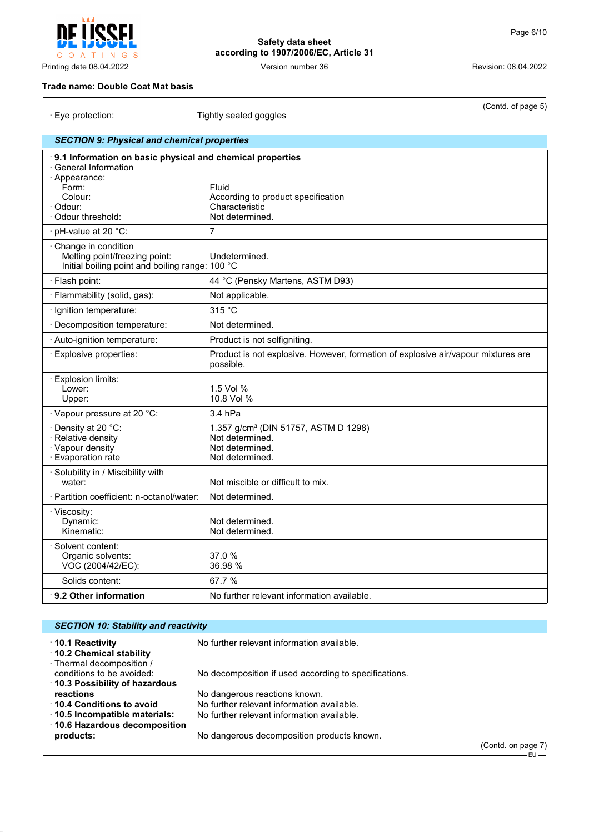(Contd. of page 5)

## **Trade name: Double Coat Mat basis**

| Eye protection.                                                                                                                                          | Tigritiy sealed goggles                                                                                   |
|----------------------------------------------------------------------------------------------------------------------------------------------------------|-----------------------------------------------------------------------------------------------------------|
| <b>SECTION 9: Physical and chemical properties</b>                                                                                                       |                                                                                                           |
| .9.1 Information on basic physical and chemical properties<br>· General Information<br>· Appearance:<br>Form:<br>Colour:<br>· Odour:<br>Odour threshold: | Fluid<br>According to product specification<br>Characteristic<br>Not determined.                          |
| · pH-value at 20 °C:                                                                                                                                     | 7                                                                                                         |
| · Change in condition<br>Melting point/freezing point:<br>Initial boiling point and boiling range: 100 °C                                                | Undetermined.                                                                                             |
| · Flash point:                                                                                                                                           | 44 °C (Pensky Martens, ASTM D93)                                                                          |
| · Flammability (solid, gas):                                                                                                                             | Not applicable.                                                                                           |
| · Ignition temperature:                                                                                                                                  | 315 °C                                                                                                    |
| · Decomposition temperature:                                                                                                                             | Not determined.                                                                                           |
| · Auto-ignition temperature:                                                                                                                             | Product is not selfigniting.                                                                              |
| · Explosive properties:                                                                                                                                  | Product is not explosive. However, formation of explosive air/vapour mixtures are<br>possible.            |
| $\cdot$ Explosion limits:<br>Lower:<br>Upper:                                                                                                            | 1.5 Vol %<br>10.8 Vol %                                                                                   |
| · Vapour pressure at 20 °C:                                                                                                                              | 3.4 hPa                                                                                                   |
| · Density at 20 °C:<br>· Relative density<br>· Vapour density<br>· Evaporation rate                                                                      | 1.357 g/cm <sup>3</sup> (DIN 51757, ASTM D 1298)<br>Not determined.<br>Not determined.<br>Not determined. |
| · Solubility in / Miscibility with<br>water:                                                                                                             | Not miscible or difficult to mix.                                                                         |
| · Partition coefficient: n-octanol/water:                                                                                                                | Not determined.                                                                                           |
| · Viscosity:<br>Dynamic:<br>Kinematic:                                                                                                                   | Not determined.<br>Not determined.                                                                        |
| · Solvent content:<br>Organic solvents:<br>VOC (2004/42/EC):                                                                                             | 37.0 %<br>36.98 %                                                                                         |
| Solids content:                                                                                                                                          | 67.7 %                                                                                                    |
| $\cdot$ 9.2 Other information                                                                                                                            | No further relevant information available.                                                                |
|                                                                                                                                                          |                                                                                                           |

| <b>SECTION 10: Stability and reactivity</b>                                     |                                                       |                  |
|---------------------------------------------------------------------------------|-------------------------------------------------------|------------------|
| $\cdot$ 10.1 Reactivity<br>10.2 Chemical stability<br>· Thermal decomposition / | No further relevant information available.            |                  |
| conditions to be avoided:<br>10.3 Possibility of hazardous                      | No decomposition if used according to specifications. |                  |
| reactions                                                                       | No dangerous reactions known.                         |                  |
| 10.4 Conditions to avoid                                                        | No further relevant information available.            |                  |
| $\cdot$ 10.5 Incompatible materials:<br>⋅ 10.6 Hazardous decomposition          | No further relevant information available.            |                  |
| products:                                                                       | No dangerous decomposition products known.            |                  |
|                                                                                 |                                                       | $(C_{\text{O}})$ |



· Eye protection: Tightly sealed goggles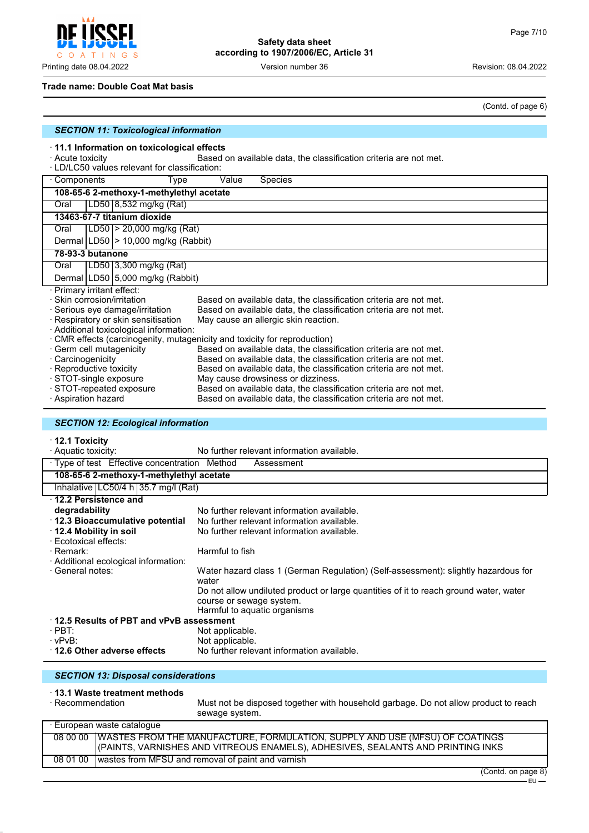#### **Trade name: Double Coat Mat basis**

(Contd. of page 6)

|                                                                                                            | (Conta. or pag                                                                                                                         |
|------------------------------------------------------------------------------------------------------------|----------------------------------------------------------------------------------------------------------------------------------------|
| <b>SECTION 11: Toxicological information</b>                                                               |                                                                                                                                        |
| 11.1 Information on toxicological effects<br>Acute toxicity<br>LD/LC50 values relevant for classification: | Based on available data, the classification criteria are not met.                                                                      |
| Components<br>Type                                                                                         | Value<br>Species                                                                                                                       |
| 108-65-6 2-methoxy-1-methylethyl acetate                                                                   |                                                                                                                                        |
| LD50 8,532 mg/kg (Rat)<br>Oral                                                                             |                                                                                                                                        |
| 13463-67-7 titanium dioxide                                                                                |                                                                                                                                        |
| LD50 > 20,000 mg/kg (Rat)<br>Oral                                                                          |                                                                                                                                        |
| Dermal LD50  > 10,000 mg/kg (Rabbit)                                                                       |                                                                                                                                        |
| 78-93-3 butanone                                                                                           |                                                                                                                                        |
| LD50 3,300 mg/kg (Rat)<br>Oral                                                                             |                                                                                                                                        |
| Dermal LD50 5,000 mg/kg (Rabbit)                                                                           |                                                                                                                                        |
| Primary irritant effect:                                                                                   |                                                                                                                                        |
| Skin corrosion/irritation                                                                                  | Based on available data, the classification criteria are not met.                                                                      |
| Serious eye damage/irritation                                                                              | Based on available data, the classification criteria are not met.                                                                      |
| Respiratory or skin sensitisation                                                                          | May cause an allergic skin reaction.                                                                                                   |
| Additional toxicological information:                                                                      |                                                                                                                                        |
|                                                                                                            | CMR effects (carcinogenity, mutagenicity and toxicity for reproduction)                                                                |
| Germ cell mutagenicity<br>Carcinogenicity                                                                  | Based on available data, the classification criteria are not met.<br>Based on available data, the classification criteria are not met. |
| Reproductive toxicity                                                                                      | Based on available data, the classification criteria are not met.                                                                      |
| STOT-single exposure                                                                                       | May cause drowsiness or dizziness.                                                                                                     |
| STOT-repeated exposure                                                                                     | Based on available data, the classification criteria are not met.                                                                      |
| Aspiration hazard                                                                                          | Based on available data, the classification criteria are not met.                                                                      |
|                                                                                                            |                                                                                                                                        |
| <b>SECTION 12: Ecological information</b>                                                                  |                                                                                                                                        |
| · 12.1 Toxicity                                                                                            |                                                                                                                                        |
| · Aquatic toxicity:                                                                                        | No further relevant information available.                                                                                             |
| · Type of test Effective concentration Method                                                              | Assessment                                                                                                                             |
| 108-65-6 2-methoxy-1-methylethyl acetate                                                                   |                                                                                                                                        |
| Inhalative   LC50/4 h   35.7 mg/l (Rat)                                                                    |                                                                                                                                        |
| 12.2 Persistence and                                                                                       |                                                                                                                                        |
| degradability                                                                                              | No further relevant information available.                                                                                             |
| 12.3 Bioaccumulative potential                                                                             | No further relevant information available.                                                                                             |
| 12.4 Mobility in soil                                                                                      | No further relevant information available.                                                                                             |
| Ecotoxical effects:                                                                                        |                                                                                                                                        |
| Remark:                                                                                                    | Harmful to fish                                                                                                                        |
| Additional ecological information:                                                                         |                                                                                                                                        |
| General notes:                                                                                             | Water hazard class 1 (German Regulation) (Self-assessment): slightly hazardous for<br>water                                            |
|                                                                                                            | Do not allow undiluted product or large quantities of it to reach ground water, water                                                  |
|                                                                                                            | course or sewage system.                                                                                                               |

|                                             | Harmful to aquatic organisms               |  |
|---------------------------------------------|--------------------------------------------|--|
| $+$ 12.5 Results of PBT and vPvB assessment |                                            |  |
| $\cdot$ PBT:                                | Not applicable.                            |  |
| · vPvB∶                                     | Not applicable.                            |  |
| 12.6 Other adverse effects                  | No further relevant information available. |  |

## *SECTION 13: Disposal considerations*

# · **13.1 Waste treatment methods**

Must not be disposed together with household garbage. Do not allow product to reach sewage system.

| · European waste cataloque |                                                                                        |  |  |
|----------------------------|----------------------------------------------------------------------------------------|--|--|
|                            | 08 00 00   WASTES FROM THE MANUFACTURE, FORMULATION, SUPPLY AND USE (MFSU) OF COATINGS |  |  |
|                            | (PAINTS, VARNISHES AND VITREOUS ENAMELS), ADHESIVES, SEALANTS AND PRINTING INKS        |  |  |
|                            | 08 01 00   wastes from MFSU and removal of paint and varnish                           |  |  |



Printing date 08.04.2022 Version number 36 Revision: 08.04.2022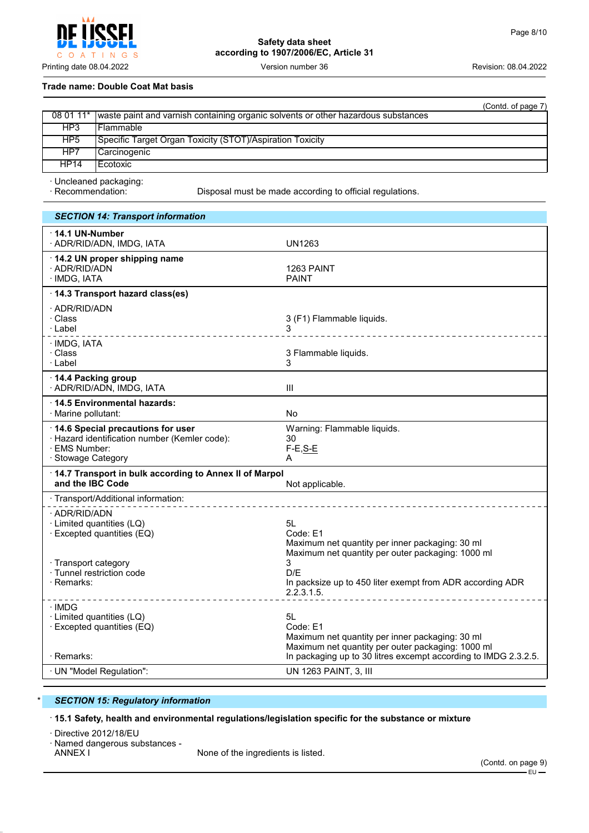Printing date 08.04.2022 **Version number 36** Version number 36 Revision: 08.04.2022

#### **Trade name: Double Coat Mat basis**

|                 | (Contd. of page 7)                                                                          |
|-----------------|---------------------------------------------------------------------------------------------|
|                 | 08 01 11* waste paint and varnish containing organic solvents or other hazardous substances |
| HP3             | l Flammable.                                                                                |
| HP <sub>5</sub> | Specific Target Organ Toxicity (STOT)/Aspiration Toxicity                                   |
| HP7             | Carcinogenic_                                                                               |
| <b>HP14</b>     | l Ecotoxic                                                                                  |

· Uncleaned packaging:

Disposal must be made according to official regulations.

| <b>SECTION 14: Transport information</b>                                                                                  |                                                                                                                             |
|---------------------------------------------------------------------------------------------------------------------------|-----------------------------------------------------------------------------------------------------------------------------|
| $\cdot$ 14.1 UN-Number<br>· ADR/RID/ADN, IMDG, IATA                                                                       | <b>UN1263</b>                                                                                                               |
| · 14.2 UN proper shipping name<br>· ADR/RID/ADN<br>· IMDG, IATA                                                           | 1263 PAINT<br><b>PAINT</b>                                                                                                  |
| 14.3 Transport hazard class(es)                                                                                           |                                                                                                                             |
| · ADR/RID/ADN<br>· Class<br>· Label                                                                                       | 3 (F1) Flammable liquids.<br>________________                                                                               |
| · IMDG, IATA<br>· Class<br>· Label                                                                                        | 3 Flammable liquids.<br>3                                                                                                   |
| 14.4 Packing group<br>· ADR/RID/ADN, IMDG, IATA                                                                           | $\mathbf{III}$                                                                                                              |
| 14.5 Environmental hazards:<br>· Marine pollutant:                                                                        | <b>No</b>                                                                                                                   |
| 14.6 Special precautions for user<br>· Hazard identification number (Kemler code):<br>· EMS Number:<br>· Stowage Category | Warning: Flammable liquids.<br>30<br>$F-E, S-E$<br>A                                                                        |
| 14.7 Transport in bulk according to Annex II of Marpol<br>and the IBC Code                                                | Not applicable.                                                                                                             |
| · Transport/Additional information:                                                                                       |                                                                                                                             |
| · ADR/RID/ADN<br>· Limited quantities (LQ)<br>· Excepted quantities (EQ)<br>· Transport category                          | 5L<br>Code: E1<br>Maximum net quantity per inner packaging: 30 ml<br>Maximum net quantity per outer packaging: 1000 ml<br>3 |
| · Tunnel restriction code<br>· Remarks:                                                                                   | D/E<br>In packsize up to 450 liter exempt from ADR according ADR<br>2.2.3.1.5.<br>_________________________                 |
| ∙IMDG<br>· Limited quantities (LQ)<br>· Excepted quantities (EQ)                                                          | 51<br>Code: E1<br>Maximum net quantity per inner packaging: 30 ml<br>Maximum net quantity per outer packaging: 1000 ml      |
| · Remarks:                                                                                                                | In packaging up to 30 litres excempt according to IMDG 2.3.2.5.                                                             |
| · UN "Model Regulation":                                                                                                  | UN 1263 PAINT, 3, III                                                                                                       |

# **SECTION 15: Regulatory information**

· **15.1 Safety, health and environmental regulations/legislation specific for the substance or mixture**

· Directive 2012/18/EU

· Named dangerous substances -

None of the ingredients is listed.

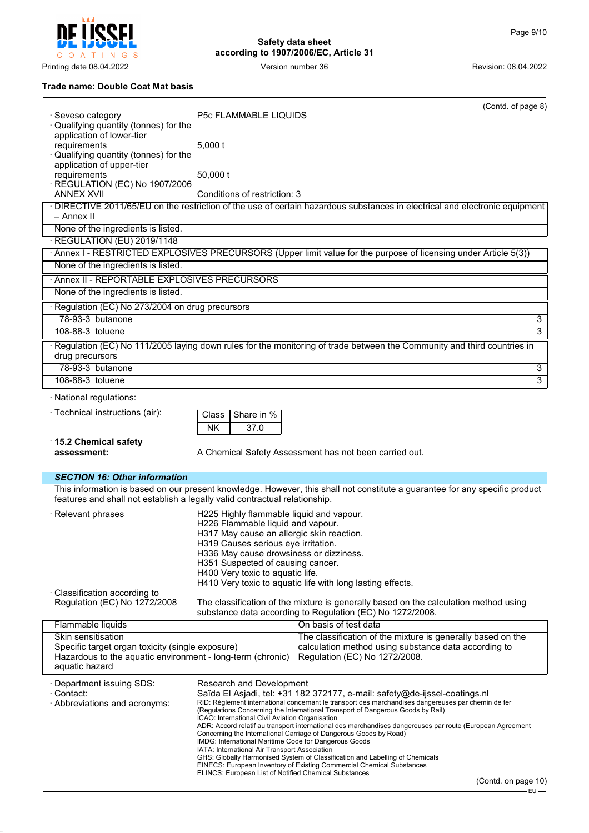Printing date 08.04.2022 **Version number 36** Version number 36 Revision: 08.04.2022

# **Trade name: Double Coat Mat basis**

ileeri

LIJO COATINGS

 $\overline{\mathbf{J}}$ 

| · Seveso category<br>· Qualifying quantity (tonnes) for the                                                                      | P5c FLAMMABLE LIQUIDS                                                        | (Contd. of page 8)                                                                                                                                    |
|----------------------------------------------------------------------------------------------------------------------------------|------------------------------------------------------------------------------|-------------------------------------------------------------------------------------------------------------------------------------------------------|
| application of lower-tier<br>requirements<br>Qualifying quantity (tonnes) for the                                                | $5,000$ t                                                                    |                                                                                                                                                       |
| application of upper-tier<br>requirements<br>· REGULATION (EC) No 1907/2006                                                      | 50,000 t                                                                     |                                                                                                                                                       |
| <b>ANNEX XVII</b>                                                                                                                | Conditions of restriction: 3                                                 |                                                                                                                                                       |
| – Annex II                                                                                                                       |                                                                              | · DIRECTIVE 2011/65/EU on the restriction of the use of certain hazardous substances in electrical and electronic equipment                           |
| None of the ingredients is listed.                                                                                               |                                                                              |                                                                                                                                                       |
| · REGULATION (EU) 2019/1148                                                                                                      |                                                                              |                                                                                                                                                       |
| None of the ingredients is listed.                                                                                               |                                                                              | · Annex I - RESTRICTED EXPLOSIVES PRECURSORS (Upper limit value for the purpose of licensing under Article 5(3))                                      |
|                                                                                                                                  |                                                                              |                                                                                                                                                       |
| · Annex II - REPORTABLE EXPLOSIVES PRECURSORS                                                                                    |                                                                              |                                                                                                                                                       |
| None of the ingredients is listed.                                                                                               |                                                                              |                                                                                                                                                       |
| · Regulation (EC) No 273/2004 on drug precursors                                                                                 |                                                                              |                                                                                                                                                       |
| 78-93-3 butanone                                                                                                                 |                                                                              | 3                                                                                                                                                     |
| 108-88-3 toluene                                                                                                                 |                                                                              | $\overline{3}$                                                                                                                                        |
| drug precursors                                                                                                                  |                                                                              | Regulation (EC) No 111/2005 laying down rules for the monitoring of trade between the Community and third countries in                                |
| 78-93-3 butanone                                                                                                                 |                                                                              | $\overline{3}$                                                                                                                                        |
| 108-88-3 toluene                                                                                                                 |                                                                              | $\overline{3}$                                                                                                                                        |
| · National regulations:                                                                                                          |                                                                              |                                                                                                                                                       |
| · Technical instructions (air):                                                                                                  | Share in %<br>Class<br><b>NK</b><br>37.0                                     |                                                                                                                                                       |
|                                                                                                                                  |                                                                              |                                                                                                                                                       |
| 15.2 Chemical safety<br>assessment:                                                                                              |                                                                              | A Chemical Safety Assessment has not been carried out.                                                                                                |
|                                                                                                                                  |                                                                              |                                                                                                                                                       |
| <b>SECTION 16: Other information</b><br>features and shall not establish a legally valid contractual relationship.               |                                                                              | This information is based on our present knowledge. However, this shall not constitute a guarantee for any specific product                           |
| · Relevant phrases                                                                                                               | H225 Highly flammable liquid and vapour.                                     |                                                                                                                                                       |
|                                                                                                                                  | H226 Flammable liquid and vapour.                                            |                                                                                                                                                       |
|                                                                                                                                  | H317 May cause an allergic skin reaction.                                    |                                                                                                                                                       |
|                                                                                                                                  | H319 Causes serious eye irritation.                                          |                                                                                                                                                       |
|                                                                                                                                  | H336 May cause drowsiness or dizziness.<br>H351 Suspected of causing cancer. |                                                                                                                                                       |
|                                                                                                                                  | H400 Very toxic to aquatic life.                                             |                                                                                                                                                       |
|                                                                                                                                  |                                                                              |                                                                                                                                                       |
|                                                                                                                                  |                                                                              | H410 Very toxic to aquatic life with long lasting effects.                                                                                            |
| · Classification according to<br>Regulation (EC) No 1272/2008                                                                    |                                                                              | The classification of the mixture is generally based on the calculation method using                                                                  |
|                                                                                                                                  |                                                                              | substance data according to Regulation (EC) No 1272/2008.                                                                                             |
| Flammable liquids<br>Skin sensitisation                                                                                          |                                                                              | On basis of test data                                                                                                                                 |
| Specific target organ toxicity (single exposure)<br>Hazardous to the aquatic environment - long-term (chronic)<br>aquatic hazard |                                                                              | The classification of the mixture is generally based on the<br>calculation method using substance data according to<br>Regulation (EC) No 1272/2008.  |
|                                                                                                                                  |                                                                              |                                                                                                                                                       |
| · Department issuing SDS:<br>· Contact:                                                                                          | Research and Development                                                     | Saïda El Asjadi, tel: +31 182 372177, e-mail: safety@de-ijssel-coatings.nl                                                                            |
| · Abbreviations and acronyms:                                                                                                    |                                                                              | RID: Règlement international concernant le transport des marchandises dangereuses par chemin de fer                                                   |
|                                                                                                                                  | ICAO: International Civil Aviation Organisation                              | (Regulations Concerning the International Transport of Dangerous Goods by Rail)                                                                       |
|                                                                                                                                  |                                                                              | ADR: Accord relatif au transport international des marchandises dangereuses par route (European Agreement                                             |
|                                                                                                                                  | IMDG: International Maritime Code for Dangerous Goods                        | Concerning the International Carriage of Dangerous Goods by Road)                                                                                     |
|                                                                                                                                  | IATA: International Air Transport Association                                | GHS: Globally Harmonised System of Classification and Labelling of Chemicals<br>EINECS: European Inventory of Existing Commercial Chemical Substances |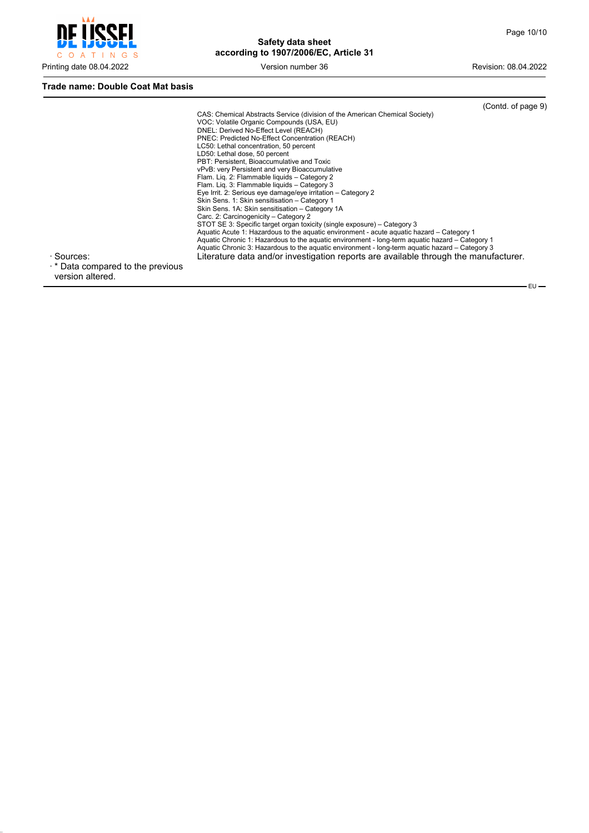$-EU$ 



# **Safety data sheet according to 1907/2006/EC, Article 31**

## **Trade name: Double Coat Mat basis**

| · Sources:                              | (Contd. of page 9)<br>CAS: Chemical Abstracts Service (division of the American Chemical Society)<br>VOC: Volatile Organic Compounds (USA, EU)<br>DNEL: Derived No-Effect Level (REACH)<br>PNEC: Predicted No-Effect Concentration (REACH)<br>LC50: Lethal concentration, 50 percent<br>LD50: Lethal dose, 50 percent<br>PBT: Persistent, Bioaccumulative and Toxic<br>vPvB: very Persistent and very Bioaccumulative<br>Flam. Lig. 2: Flammable liguids - Category 2<br>Flam. Lig. 3: Flammable liguids - Category 3<br>Eye Irrit. 2: Serious eye damage/eye irritation - Category 2<br>Skin Sens. 1: Skin sensitisation - Category 1<br>Skin Sens. 1A: Skin sensitisation - Category 1A<br>Carc. 2: Carcinogenicity - Category 2<br>STOT SE 3: Specific target organ toxicity (single exposure) – Category 3<br>Aquatic Acute 1: Hazardous to the aquatic environment - acute aquatic hazard – Category 1<br>Aquatic Chronic 1: Hazardous to the aquatic environment - long-term aquatic hazard – Category 1<br>Aquatic Chronic 3: Hazardous to the aquatic environment - long-term aquatic hazard - Category 3<br>Literature data and/or investigation reports are available through the manufacturer. |  |
|-----------------------------------------|-----------------------------------------------------------------------------------------------------------------------------------------------------------------------------------------------------------------------------------------------------------------------------------------------------------------------------------------------------------------------------------------------------------------------------------------------------------------------------------------------------------------------------------------------------------------------------------------------------------------------------------------------------------------------------------------------------------------------------------------------------------------------------------------------------------------------------------------------------------------------------------------------------------------------------------------------------------------------------------------------------------------------------------------------------------------------------------------------------------------------------------------------------------------------------------------------------------|--|
| $\cdot$ * Data compared to the previous |                                                                                                                                                                                                                                                                                                                                                                                                                                                                                                                                                                                                                                                                                                                                                                                                                                                                                                                                                                                                                                                                                                                                                                                                           |  |

version altered.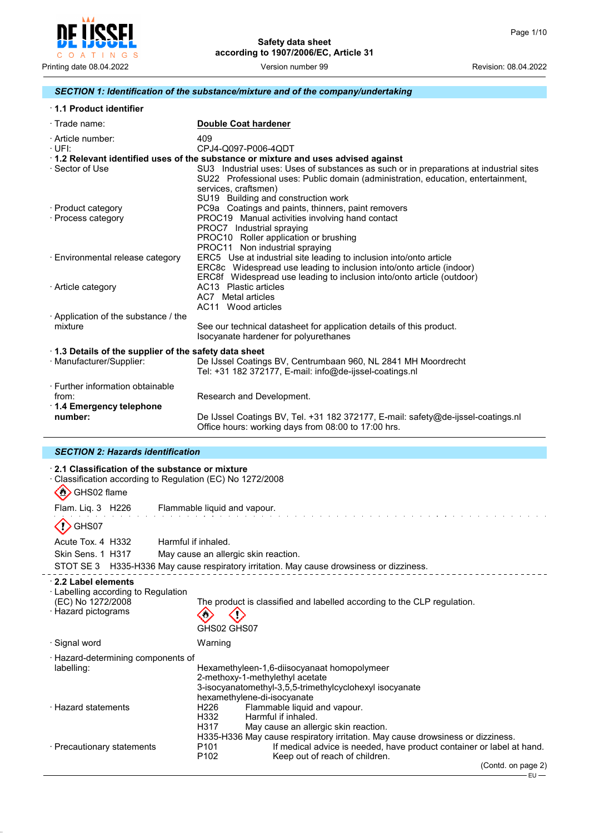

# *SECTION 1: Identification of the substance/mixture and of the company/undertaking*

| 1.1 Product identifier |  |
|------------------------|--|
|------------------------|--|

| $\cdot$ Trade name:                                  | <b>Double Coat hardener</b>                                                                                                                                                                        |
|------------------------------------------------------|----------------------------------------------------------------------------------------------------------------------------------------------------------------------------------------------------|
| · Article number:<br>$\cdot$ UFI:                    | 409<br>CPJ4-Q097-P006-4QDT                                                                                                                                                                         |
|                                                      | 1.2 Relevant identified uses of the substance or mixture and uses advised against                                                                                                                  |
| · Sector of Use                                      | SU3 Industrial uses: Uses of substances as such or in preparations at industrial sites<br>SU22 Professional uses: Public domain (administration, education, entertainment,<br>services, craftsmen) |
|                                                      | SU19 Building and construction work                                                                                                                                                                |
| · Product category                                   | PC9a Coatings and paints, thinners, paint removers                                                                                                                                                 |
| · Process category                                   | PROC19 Manual activities involving hand contact                                                                                                                                                    |
|                                                      | PROC7 Industrial spraying                                                                                                                                                                          |
|                                                      | PROC10 Roller application or brushing                                                                                                                                                              |
|                                                      | PROC11 Non industrial spraying                                                                                                                                                                     |
| · Environmental release category                     | ERC5 Use at industrial site leading to inclusion into/onto article                                                                                                                                 |
|                                                      | ERC8c Widespread use leading to inclusion into/onto article (indoor)                                                                                                                               |
|                                                      | ERC8f Widespread use leading to inclusion into/onto article (outdoor)                                                                                                                              |
| · Article category                                   | AC13 Plastic articles                                                                                                                                                                              |
|                                                      | AC7 Metal articles                                                                                                                                                                                 |
|                                                      | AC11 Wood articles                                                                                                                                                                                 |
|                                                      |                                                                                                                                                                                                    |
| Application of the substance / the                   |                                                                                                                                                                                                    |
| mixture                                              | See our technical datasheet for application details of this product.                                                                                                                               |
|                                                      | Isocyanate hardener for polyurethanes                                                                                                                                                              |
| 1.3 Details of the supplier of the safety data sheet |                                                                                                                                                                                                    |
| · Manufacturer/Supplier:                             | De IJssel Coatings BV, Centrumbaan 960, NL 2841 MH Moordrecht                                                                                                                                      |
|                                                      | Tel: +31 182 372177, E-mail: info@de-ijssel-coatings.nl                                                                                                                                            |
| · Further information obtainable                     |                                                                                                                                                                                                    |
|                                                      |                                                                                                                                                                                                    |
| from:                                                | Research and Development.                                                                                                                                                                          |
| 1.4 Emergency telephone                              |                                                                                                                                                                                                    |
| number:                                              | De IJssel Coatings BV, Tel. +31 182 372177, E-mail: safety@de-ijssel-coatings.nl<br>Office hours: working days from 08:00 to 17:00 hrs.                                                            |

# *SECTION 2: Hazards identification*

J.

| ⋅ 2.1 Classification of the substance or mixture<br>Classification according to Regulation (EC) No 1272/2008<br>$\langle \cdot \rangle$<br>GHS02 flame                                                                       |        |
|------------------------------------------------------------------------------------------------------------------------------------------------------------------------------------------------------------------------------|--------|
| Flam. Liq. 3 H226 Flammable liquid and vapour.                                                                                                                                                                               |        |
| GHS07                                                                                                                                                                                                                        |        |
| Acute Tox. 4 H332<br>Harmful if inhaled.                                                                                                                                                                                     |        |
| Skin Sens. 1 H317<br>May cause an allergic skin reaction.                                                                                                                                                                    |        |
| STOT SE 3 H335-H336 May cause respiratory irritation. May cause drowsiness or dizziness.                                                                                                                                     |        |
| 2.2 Label elements<br>$\cdot$ Labelling according to Regulation<br>(EC) No 1272/2008<br>The product is classified and labelled according to the CLP regulation.<br>· Hazard pictograms<br>GHS02 GHS07                        |        |
| · Signal word<br>Warning                                                                                                                                                                                                     |        |
| · Hazard-determining components of<br>labelling:<br>Hexamethyleen-1,6-diisocyanaat homopolymeer<br>2-methoxy-1-methylethyl acetate<br>3-isocyanatomethyl-3,5,5-trimethylcyclohexyl isocyanate<br>hexamethylene-di-isocyanate |        |
| · Hazard statements<br>H226<br>Flammable liquid and vapour.<br>Harmful if inhaled.<br>H332<br>H317<br>May cause an allergic skin reaction.<br>H335-H336 May cause respiratory irritation. May cause drowsiness or dizziness. |        |
| If medical advice is needed, have product container or label at hand.<br>P <sub>101</sub><br>· Precautionary statements<br>P <sub>102</sub><br>Keep out of reach of children.                                                |        |
| (Contd. on page 2)                                                                                                                                                                                                           | $EU -$ |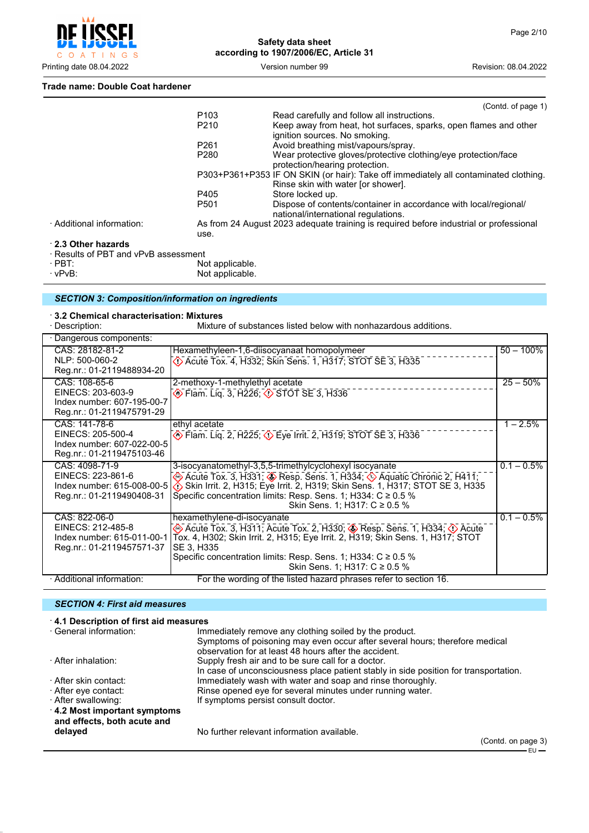

#### **Trade name: Double Coat hardener**

|                                      |                  | (Contd. of page 1)                                                                                                        |
|--------------------------------------|------------------|---------------------------------------------------------------------------------------------------------------------------|
|                                      | P <sub>103</sub> | Read carefully and follow all instructions.                                                                               |
|                                      | P <sub>210</sub> | Keep away from heat, hot surfaces, sparks, open flames and other<br>ignition sources. No smoking.                         |
|                                      | P <sub>261</sub> | Avoid breathing mist/vapours/spray.                                                                                       |
|                                      | P <sub>280</sub> | Wear protective gloves/protective clothing/eye protection/face<br>protection/hearing protection.                          |
|                                      |                  | P303+P361+P353 IF ON SKIN (or hair): Take off immediately all contaminated clothing.<br>Rinse skin with water for shower. |
|                                      | P405             | Store locked up.                                                                                                          |
|                                      | P <sub>501</sub> | Dispose of contents/container in accordance with local/regional/<br>national/international regulations.                   |
| · Additional information:            |                  | As from 24 August 2023 adequate training is required before industrial or professional                                    |
|                                      | use.             |                                                                                                                           |
| 2.3 Other hazards                    |                  |                                                                                                                           |
| · Results of PBT and vPvB assessment |                  |                                                                                                                           |

· PBT: Not applicable.

· vPvB: Not applicable.

# *SECTION 3: Composition/information on ingredients*

· **3.2 Chemical characterisation: Mixtures** Mixture of substances listed below with nonhazardous additions.

| · Dangerous components:    |                                                                                 |               |
|----------------------------|---------------------------------------------------------------------------------|---------------|
| CAS: 28182-81-2            | Hexamethyleen-1,6-diisocyanaat homopolymeer                                     | $50 - 100\%$  |
| NLP: 500-060-2             | Decree Tox. 4, H332; Skin Sens. 1, H317; STOT SE 3, H335                        |               |
| Reg.nr.: 01-2119488934-20  |                                                                                 |               |
| CAS: 108-65-6              | 2-methoxy-1-methylethyl acetate                                                 | $25 - 50%$    |
| EINECS: 203-603-9          | ♦ Flam. Liq. 3, H226; ♦ STOT SE 3, H336                                         |               |
| Index number: 607-195-00-7 |                                                                                 |               |
| Reg.nr.: 01-2119475791-29  |                                                                                 |               |
| CAS: 141-78-6              | ethyl acetate                                                                   | $1 - 2.5%$    |
| EINECS: 205-500-4          | <b>Example 2, H225; &lt;2&gt;</b> Eye Irrit. 2, H319; STOT SE 3, H336           |               |
| Index number: 607-022-00-5 |                                                                                 |               |
| Reg.nr.: 01-2119475103-46  |                                                                                 |               |
| CAS: 4098-71-9             | 3-isocyanatomethyl-3,5,5-trimethylcyclohexyl isocyanate                         | $0.1 - 0.5\%$ |
| EINECS: 223-861-6          | Acute Tox. 3, H331; CRESP. Sens. 1, H334; CA Aquatic Chronic 2, H411;           |               |
| Index number: 615-008-00-5 | Skin Irrit. 2, H315; Eye Irrit. 2, H319; Skin Sens. 1, H317; STOT SE 3, H335    |               |
| Reg.nr.: 01-2119490408-31  | Specific concentration limits: Resp. Sens. 1; H334: $C \ge 0.5$ %               |               |
|                            | Skin Sens. 1; H317: C ≥ 0.5 %                                                   |               |
| CAS: 822-06-0              | hexamethylene-di-isocyanate                                                     | $0.1 - 0.5\%$ |
| EINECS: 212-485-8          | → Acute Tox. 3, H311; Acute Tox. 2, H330; → Resp. Sens. 1, H334; ① Acute        |               |
| Index number: 615-011-00-1 | Tox. 4, H302; Skin Irrit. 2, H315; Eye Irrit. 2, H319; Skin Sens. 1, H317; STOT |               |
| Reg.nr.: 01-2119457571-37  | SE 3, H335                                                                      |               |
|                            | Specific concentration limits: Resp. Sens. 1; H334: $C \ge 0.5$ %               |               |
|                            | Skin Sens. 1; H317: C ≥ 0.5 %                                                   |               |
| · Additional information:  | For the wording of the listed hazard phrases refer to section 16.               |               |

## *SECTION 4: First aid measures*

| 4.1 Description of first aid measures |                                                                                      |
|---------------------------------------|--------------------------------------------------------------------------------------|
| · General information:                | Immediately remove any clothing soiled by the product.                               |
|                                       | Symptoms of poisoning may even occur after several hours; therefore medical          |
|                                       | observation for at least 48 hours after the accident.                                |
| · After inhalation:                   | Supply fresh air and to be sure call for a doctor.                                   |
|                                       | In case of unconsciousness place patient stably in side position for transportation. |
| · After skin contact:                 | Immediately wash with water and soap and rinse thoroughly.                           |
| ⋅ After eye contact:                  | Rinse opened eye for several minutes under running water.                            |
| · After swallowing:                   | If symptoms persist consult doctor.                                                  |
| 4.2 Most important symptoms           |                                                                                      |
| and effects, both acute and           |                                                                                      |
| delayed                               | No further relevant information available.                                           |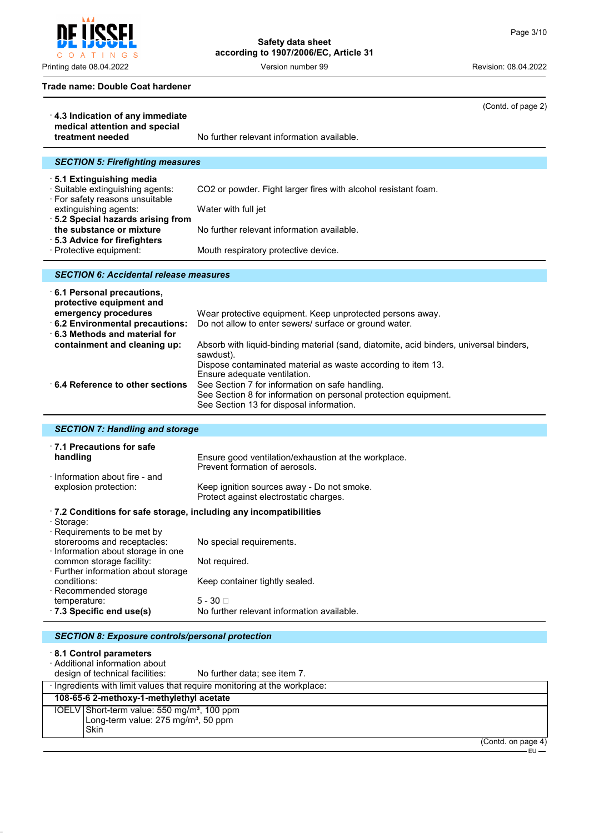#### **Trade name: Double Coat hardener**

| 4.3 Indication of any immediate                                                                 | (Contd. of page 2)                                                                                                                                                                                                                                             |
|-------------------------------------------------------------------------------------------------|----------------------------------------------------------------------------------------------------------------------------------------------------------------------------------------------------------------------------------------------------------------|
| medical attention and special                                                                   |                                                                                                                                                                                                                                                                |
| treatment needed                                                                                | No further relevant information available.                                                                                                                                                                                                                     |
|                                                                                                 |                                                                                                                                                                                                                                                                |
| <b>SECTION 5: Firefighting measures</b>                                                         |                                                                                                                                                                                                                                                                |
| ⋅5.1 Extinguishing media<br>· Suitable extinguishing agents:<br>· For safety reasons unsuitable | CO2 or powder. Fight larger fires with alcohol resistant foam.                                                                                                                                                                                                 |
| extinguishing agents:                                                                           | Water with full jet                                                                                                                                                                                                                                            |
| · 5.2 Special hazards arising from<br>the substance or mixture<br>· 5.3 Advice for firefighters | No further relevant information available.                                                                                                                                                                                                                     |
| · Protective equipment:                                                                         | Mouth respiratory protective device.                                                                                                                                                                                                                           |
|                                                                                                 |                                                                                                                                                                                                                                                                |
| <b>SECTION 6: Accidental release measures</b>                                                   |                                                                                                                                                                                                                                                                |
| 6.1 Personal precautions,<br>protective equipment and                                           |                                                                                                                                                                                                                                                                |
| emergency procedures<br>6.2 Environmental precautions:<br>6.3 Methods and material for          | Wear protective equipment. Keep unprotected persons away.<br>Do not allow to enter sewers/ surface or ground water.                                                                                                                                            |
| containment and cleaning up:                                                                    | Absorb with liquid-binding material (sand, diatomite, acid binders, universal binders,<br>sawdust).                                                                                                                                                            |
| 6.4 Reference to other sections                                                                 | Dispose contaminated material as waste according to item 13.<br>Ensure adequate ventilation.<br>See Section 7 for information on safe handling.<br>See Section 8 for information on personal protection equipment.<br>See Section 13 for disposal information. |
|                                                                                                 |                                                                                                                                                                                                                                                                |
|                                                                                                 |                                                                                                                                                                                                                                                                |
| <b>SECTION 7: Handling and storage</b>                                                          |                                                                                                                                                                                                                                                                |
| 17.1 Precautions for safe<br>handling                                                           | Ensure good ventilation/exhaustion at the workplace.<br>Prevent formation of aerosols.                                                                                                                                                                         |
| · Information about fire - and<br>explosion protection:                                         | Keep ignition sources away - Do not smoke.                                                                                                                                                                                                                     |
|                                                                                                 | Protect against electrostatic charges.                                                                                                                                                                                                                         |
| .7.2 Conditions for safe storage, including any incompatibilities<br>· Storage:                 |                                                                                                                                                                                                                                                                |
| Requirements to be met by<br>storerooms and receptacles:                                        | No special requirements.                                                                                                                                                                                                                                       |
| Information about storage in one<br>common storage facility:                                    | Not required.                                                                                                                                                                                                                                                  |
| · Further information about storage<br>conditions:                                              | Keep container tightly sealed.                                                                                                                                                                                                                                 |
| · Recommended storage                                                                           |                                                                                                                                                                                                                                                                |
| temperature:<br>$\cdot$ 7.3 Specific end use(s)                                                 | $5 - 30$<br>No further relevant information available.                                                                                                                                                                                                         |
|                                                                                                 |                                                                                                                                                                                                                                                                |
| <b>SECTION 8: Exposure controls/personal protection</b>                                         |                                                                                                                                                                                                                                                                |
| 8.1 Control parameters<br>· Additional information about<br>design of technical facilities:     | No further data; see item 7.                                                                                                                                                                                                                                   |
| · Ingredients with limit values that require monitoring at the workplace:                       |                                                                                                                                                                                                                                                                |
| 108-65-6 2-methoxy-1-methylethyl acetate<br>$IOFINI$ Chest tesse value: EEQ see/se3, 400 s      |                                                                                                                                                                                                                                                                |

IOELV Short-term value: 550 mg/m<sup>3</sup>, 100 ppm Long-term value: 275 mg/mª, 50 ppm Skin

(Contd. on page 4)

– EU –



Printing date 08.04.2022 **Version number 99** Version number 99 Revision: 08.04.2022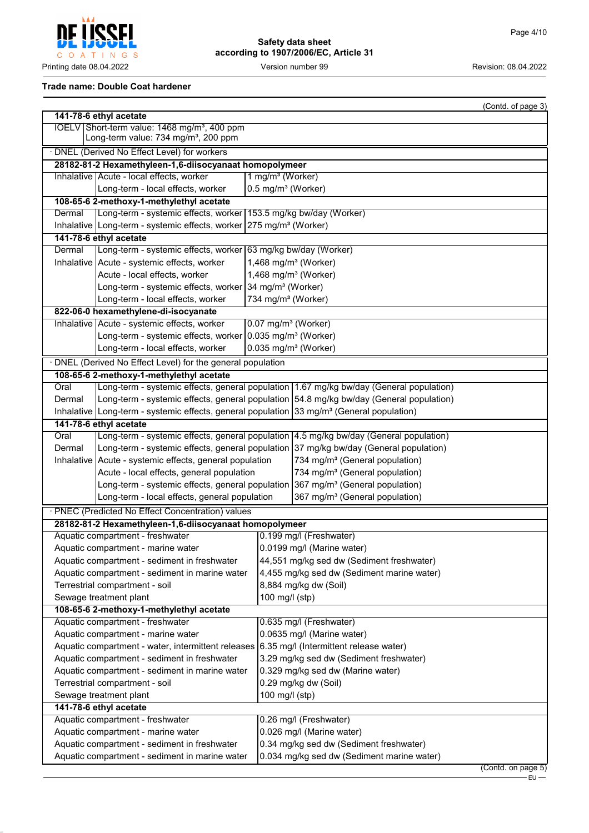

## **Trade name: Double Coat hardener**

|                                                                                             |                                                                                                              |                                 |                                                                                         | (Contd. of page 3)      |
|---------------------------------------------------------------------------------------------|--------------------------------------------------------------------------------------------------------------|---------------------------------|-----------------------------------------------------------------------------------------|-------------------------|
|                                                                                             | 141-78-6 ethyl acetate                                                                                       |                                 |                                                                                         |                         |
|                                                                                             | IOELV Short-term value: 1468 mg/m <sup>3</sup> , 400 ppm<br>Long-term value: 734 mg/m <sup>3</sup> , 200 ppm |                                 |                                                                                         |                         |
|                                                                                             |                                                                                                              |                                 |                                                                                         |                         |
|                                                                                             | · DNEL (Derived No Effect Level) for workers                                                                 |                                 |                                                                                         |                         |
|                                                                                             | 28182-81-2 Hexamethyleen-1,6-diisocyanaat homopolymeer                                                       |                                 |                                                                                         |                         |
|                                                                                             | Inhalative Acute - local effects, worker                                                                     | 1 mg/m <sup>3</sup> (Worker)    |                                                                                         |                         |
|                                                                                             | Long-term - local effects, worker<br>108-65-6 2-methoxy-1-methylethyl acetate                                | 0.5 mg/m <sup>3</sup> (Worker)  |                                                                                         |                         |
| Dermal                                                                                      | Long-term - systemic effects, worker                                                                         |                                 | 153.5 mg/kg bw/day (Worker)                                                             |                         |
|                                                                                             | Inhalative   Long-term - systemic effects, worker                                                            | 275 mg/m <sup>3</sup> (Worker)  |                                                                                         |                         |
|                                                                                             | 141-78-6 ethyl acetate                                                                                       |                                 |                                                                                         |                         |
| Dermal                                                                                      | Long-term - systemic effects, worker 63 mg/kg bw/day (Worker)                                                |                                 |                                                                                         |                         |
|                                                                                             | Inhalative   Acute - systemic effects, worker                                                                |                                 | 1,468 mg/m <sup>3</sup> (Worker)                                                        |                         |
|                                                                                             | Acute - local effects, worker                                                                                |                                 | 1,468 mg/m <sup>3</sup> (Worker)                                                        |                         |
|                                                                                             | Long-term - systemic effects, worker 34 mg/m <sup>3</sup> (Worker)                                           |                                 |                                                                                         |                         |
|                                                                                             |                                                                                                              |                                 |                                                                                         |                         |
|                                                                                             | Long-term - local effects, worker<br>822-06-0 hexamethylene-di-isocyanate                                    | 734 mg/m <sup>3</sup> (Worker)  |                                                                                         |                         |
|                                                                                             | Inhalative   Acute - systemic effects, worker                                                                | 0.07 mg/m <sup>3</sup> (Worker) |                                                                                         |                         |
|                                                                                             | Long-term - systemic effects, worker 0.035 mg/m <sup>3</sup> (Worker)                                        |                                 |                                                                                         |                         |
|                                                                                             | Long-term - local effects, worker                                                                            |                                 | $0.035$ mg/m <sup>3</sup> (Worker)                                                      |                         |
|                                                                                             |                                                                                                              |                                 |                                                                                         |                         |
|                                                                                             | DNEL (Derived No Effect Level) for the general population                                                    |                                 |                                                                                         |                         |
|                                                                                             | 108-65-6 2-methoxy-1-methylethyl acetate                                                                     |                                 |                                                                                         |                         |
| Oral                                                                                        |                                                                                                              |                                 | Long-term - systemic effects, general population 1.67 mg/kg bw/day (General population) |                         |
| Dermal                                                                                      |                                                                                                              |                                 | Long-term - systemic effects, general population 54.8 mg/kg bw/day (General population) |                         |
|                                                                                             | Inhalative Long-term - systemic effects, general population $33 \text{ mg/m}^3$ (General population)         |                                 |                                                                                         |                         |
|                                                                                             | 141-78-6 ethyl acetate                                                                                       |                                 |                                                                                         |                         |
| Oral                                                                                        |                                                                                                              |                                 | Long-term - systemic effects, general population 4.5 mg/kg bw/day (General population)  |                         |
| Dermal                                                                                      | Long-term - systemic effects, general population 37 mg/kg bw/day (General population)                        |                                 |                                                                                         |                         |
| Inhalative Acute - systemic effects, general population                                     |                                                                                                              |                                 | 734 mg/m <sup>3</sup> (General population)                                              |                         |
| Acute - local effects, general population                                                   |                                                                                                              |                                 | 734 mg/m <sup>3</sup> (General population)                                              |                         |
| Long-term - systemic effects, general population 367 mg/m <sup>3</sup> (General population) |                                                                                                              |                                 |                                                                                         |                         |
|                                                                                             | 367 mg/m <sup>3</sup> (General population)<br>Long-term - local effects, general population                  |                                 |                                                                                         |                         |
|                                                                                             | · PNEC (Predicted No Effect Concentration) values                                                            |                                 |                                                                                         |                         |
|                                                                                             | 28182-81-2 Hexamethyleen-1,6-diisocyanaat homopolymeer                                                       |                                 |                                                                                         |                         |
|                                                                                             | Aquatic compartment - freshwater                                                                             |                                 | 0.199 mg/l (Freshwater)                                                                 |                         |
|                                                                                             | Aquatic compartment - marine water                                                                           |                                 | 0.0199 mg/l (Marine water)                                                              |                         |
|                                                                                             | Aquatic compartment - sediment in freshwater                                                                 |                                 | 44,551 mg/kg sed dw (Sediment freshwater)                                               |                         |
| Aquatic compartment - sediment in marine water                                              |                                                                                                              |                                 | 4,455 mg/kg sed dw (Sediment marine water)                                              |                         |
|                                                                                             | Terrestrial compartment - soil                                                                               |                                 | 8,884 mg/kg dw (Soil)                                                                   |                         |
| Sewage treatment plant                                                                      |                                                                                                              | 100 mg/l (stp)                  |                                                                                         |                         |
|                                                                                             | 108-65-6 2-methoxy-1-methylethyl acetate                                                                     |                                 |                                                                                         |                         |
|                                                                                             | Aquatic compartment - freshwater                                                                             |                                 | 0.635 mg/l (Freshwater)                                                                 |                         |
|                                                                                             | Aquatic compartment - marine water                                                                           | 0.0635 mg/l (Marine water)      |                                                                                         |                         |
| Aquatic compartment - water, intermittent releases 6.35 mg/l (Intermittent release water)   |                                                                                                              |                                 |                                                                                         |                         |
| Aquatic compartment - sediment in freshwater                                                |                                                                                                              |                                 | 3.29 mg/kg sed dw (Sediment freshwater)                                                 |                         |
| Aquatic compartment - sediment in marine water                                              |                                                                                                              |                                 | 0.329 mg/kg sed dw (Marine water)                                                       |                         |
| Terrestrial compartment - soil                                                              |                                                                                                              |                                 | 0.29 mg/kg dw (Soil)                                                                    |                         |
| Sewage treatment plant                                                                      |                                                                                                              |                                 | 100 mg/l (stp)                                                                          |                         |
|                                                                                             | 141-78-6 ethyl acetate                                                                                       |                                 |                                                                                         |                         |
|                                                                                             | Aquatic compartment - freshwater                                                                             |                                 | 0.26 mg/l (Freshwater)                                                                  |                         |
|                                                                                             | Aquatic compartment - marine water                                                                           |                                 | 0.026 mg/l (Marine water)                                                               |                         |
| Aquatic compartment - sediment in freshwater                                                |                                                                                                              |                                 | 0.34 mg/kg sed dw (Sediment freshwater)                                                 |                         |
|                                                                                             | Aquatic compartment - sediment in marine water<br>0.034 mg/kg sed dw (Sediment marine water)                 |                                 |                                                                                         |                         |
|                                                                                             |                                                                                                              |                                 |                                                                                         | $($ Contd. on page $5)$ |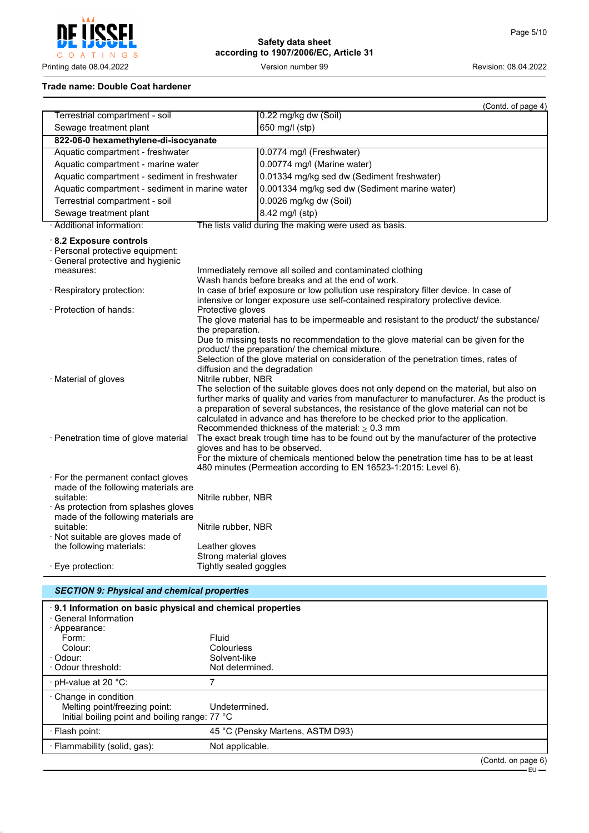O A T I N G S

# **Safety data sheet according to 1907/2006/EC, Article 31**

Printing date 08.04.2022 Version number 99 Revision: 08.04.2022

#### **Trade name: Double Coat hardener**

|                                                                                                                                                                     |                                                                          | (Contd. of page 4)                                                                                                                                                                                                                                                                                                                                                                                                                                                                                                                                                                                                                                   |
|---------------------------------------------------------------------------------------------------------------------------------------------------------------------|--------------------------------------------------------------------------|------------------------------------------------------------------------------------------------------------------------------------------------------------------------------------------------------------------------------------------------------------------------------------------------------------------------------------------------------------------------------------------------------------------------------------------------------------------------------------------------------------------------------------------------------------------------------------------------------------------------------------------------------|
| Terrestrial compartment - soil                                                                                                                                      |                                                                          | 0.22 mg/kg dw (Soil)                                                                                                                                                                                                                                                                                                                                                                                                                                                                                                                                                                                                                                 |
| Sewage treatment plant                                                                                                                                              |                                                                          | 650 mg/l (stp)                                                                                                                                                                                                                                                                                                                                                                                                                                                                                                                                                                                                                                       |
| 822-06-0 hexamethylene-di-isocyanate                                                                                                                                |                                                                          |                                                                                                                                                                                                                                                                                                                                                                                                                                                                                                                                                                                                                                                      |
| Aquatic compartment - freshwater                                                                                                                                    |                                                                          | 0.0774 mg/l (Freshwater)                                                                                                                                                                                                                                                                                                                                                                                                                                                                                                                                                                                                                             |
| Aquatic compartment - marine water                                                                                                                                  |                                                                          | 0.00774 mg/l (Marine water)                                                                                                                                                                                                                                                                                                                                                                                                                                                                                                                                                                                                                          |
| Aquatic compartment - sediment in freshwater                                                                                                                        |                                                                          | 0.01334 mg/kg sed dw (Sediment freshwater)                                                                                                                                                                                                                                                                                                                                                                                                                                                                                                                                                                                                           |
| Aquatic compartment - sediment in marine water                                                                                                                      |                                                                          | 0.001334 mg/kg sed dw (Sediment marine water)                                                                                                                                                                                                                                                                                                                                                                                                                                                                                                                                                                                                        |
| Terrestrial compartment - soil                                                                                                                                      |                                                                          | 0.0026 mg/kg dw (Soil)                                                                                                                                                                                                                                                                                                                                                                                                                                                                                                                                                                                                                               |
| Sewage treatment plant                                                                                                                                              |                                                                          | 8.42 mg/l (stp)                                                                                                                                                                                                                                                                                                                                                                                                                                                                                                                                                                                                                                      |
| · Additional information:                                                                                                                                           |                                                                          | The lists valid during the making were used as basis.                                                                                                                                                                                                                                                                                                                                                                                                                                                                                                                                                                                                |
| 8.2 Exposure controls<br>· Personal protective equipment:<br>General protective and hygienic<br>measures:                                                           |                                                                          | Immediately remove all soiled and contaminated clothing<br>Wash hands before breaks and at the end of work.                                                                                                                                                                                                                                                                                                                                                                                                                                                                                                                                          |
| · Respiratory protection:                                                                                                                                           |                                                                          | In case of brief exposure or low pollution use respiratory filter device. In case of<br>intensive or longer exposure use self-contained respiratory protective device.                                                                                                                                                                                                                                                                                                                                                                                                                                                                               |
| · Protection of hands:                                                                                                                                              | Protective gloves                                                        | The glove material has to be impermeable and resistant to the product/ the substance/                                                                                                                                                                                                                                                                                                                                                                                                                                                                                                                                                                |
| · Material of gloves                                                                                                                                                | the preparation.<br>diffusion and the degradation<br>Nitrile rubber, NBR | Due to missing tests no recommendation to the glove material can be given for the<br>product/ the preparation/ the chemical mixture.<br>Selection of the glove material on consideration of the penetration times, rates of<br>The selection of the suitable gloves does not only depend on the material, but also on<br>further marks of quality and varies from manufacturer to manufacturer. As the product is<br>a preparation of several substances, the resistance of the glove material can not be<br>calculated in advance and has therefore to be checked prior to the application.<br>Recommended thickness of the material: $\geq 0.3$ mm |
| · Penetration time of glove material                                                                                                                                |                                                                          | The exact break trough time has to be found out by the manufacturer of the protective<br>gloves and has to be observed.<br>For the mixture of chemicals mentioned below the penetration time has to be at least<br>480 minutes (Permeation according to EN 16523-1:2015: Level 6).                                                                                                                                                                                                                                                                                                                                                                   |
| . For the permanent contact gloves<br>made of the following materials are<br>suitable:<br>As protection from splashes gloves<br>made of the following materials are | Nitrile rubber, NBR                                                      |                                                                                                                                                                                                                                                                                                                                                                                                                                                                                                                                                                                                                                                      |
| suitable:<br>· Not suitable are gloves made of<br>the following materials:                                                                                          | Nitrile rubber, NBR<br>Leather gloves                                    |                                                                                                                                                                                                                                                                                                                                                                                                                                                                                                                                                                                                                                                      |
| · Eye protection:                                                                                                                                                   | Strong material gloves<br>Tightly sealed goggles                         |                                                                                                                                                                                                                                                                                                                                                                                                                                                                                                                                                                                                                                                      |

# *SECTION 9: Physical and chemical properties* · **9.1 Information on basic physical and chemical properties** · General Information · Appearance: Form: Fluid Colour: Colourless<br>Colour: Colour: Colour: Colourless<br>Colour: Colour: Colour: Colour Solvent-like<br>Not determined.  $\cdot$  Odour threshold:  $\cdot$  pH-value at 20  $\degree$ C:  $\qquad \qquad$  7 · Change in condition Melting point/freezing point: Undetermined. Initial boiling point and boiling range: 77 °C · Flash point: 45 °C (Pensky Martens, ASTM D93) · Flammability (solid, gas): Not applicable.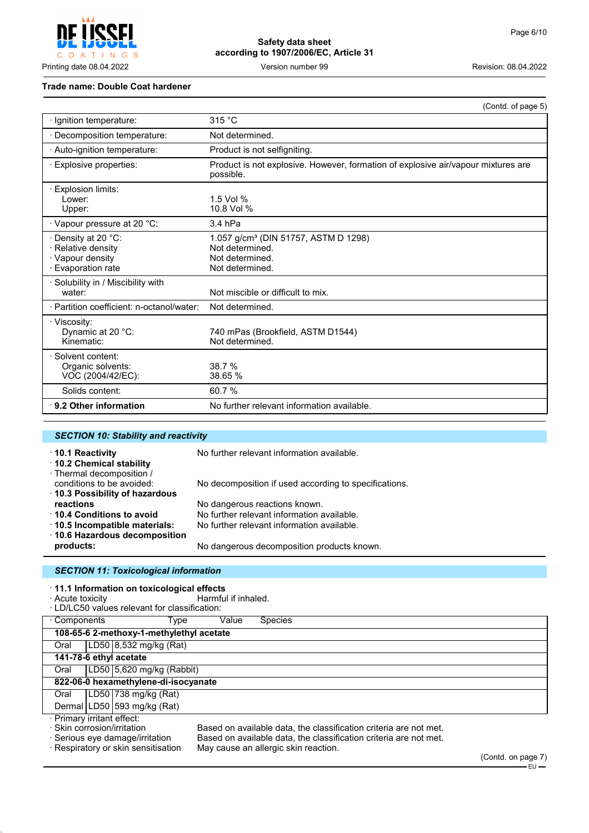Į COATINGS

# **Safety data sheet according to 1907/2006/EC, Article 31**

Printing date 08.04.2022 **Version number 99** Version number 99 Revision: 08.04.2022

#### **Trade name: Double Coat hardener**

|                                                                                                     | (Contd. of page 5)                                                                                        |
|-----------------------------------------------------------------------------------------------------|-----------------------------------------------------------------------------------------------------------|
| · Ignition temperature:                                                                             | 315 °C                                                                                                    |
| Decomposition temperature:                                                                          | Not determined.                                                                                           |
| · Auto-ignition temperature:                                                                        | Product is not selfigniting.                                                                              |
| · Explosive properties:                                                                             | Product is not explosive. However, formation of explosive air/vapour mixtures are<br>possible.            |
| $\cdot$ Explosion limits:<br>Lower:<br>Upper:                                                       | 1.5 Vol %<br>10.8 Vol %                                                                                   |
| · Vapour pressure at 20 °C:                                                                         | 3.4 hPa                                                                                                   |
| $\cdot$ Density at 20 $^{\circ}$ C:<br>· Relative density<br>· Vapour density<br>· Evaporation rate | 1.057 g/cm <sup>3</sup> (DIN 51757, ASTM D 1298)<br>Not determined.<br>Not determined.<br>Not determined. |
| Solubility in / Miscibility with<br>water:                                                          | Not miscible or difficult to mix.                                                                         |
| · Partition coefficient: n-octanol/water:                                                           | Not determined.                                                                                           |
| · Viscosity:<br>Dynamic at 20 °C:<br>Kinematic:                                                     | 740 mPas (Brookfield, ASTM D1544)<br>Not determined.                                                      |
| · Solvent content:<br>Organic solvents:<br>VOC (2004/42/EC):                                        | 38.7 %<br>38.65 %                                                                                         |
| Solids content:                                                                                     | 60.7%                                                                                                     |
| 9.2 Other information                                                                               | No further relevant information available.                                                                |

| <b>SECTION 10: Stability and reactivity</b>                                     |                                                       |
|---------------------------------------------------------------------------------|-------------------------------------------------------|
| $\cdot$ 10.1 Reactivity<br>10.2 Chemical stability<br>· Thermal decomposition / | No further relevant information available.            |
| conditions to be avoided:<br>⋅ 10.3 Possibility of hazardous                    | No decomposition if used according to specifications. |
| reactions                                                                       | No dangerous reactions known.                         |
| $\cdot$ 10.4 Conditions to avoid                                                | No further relevant information available.            |
| 10.5 Incompatible materials:                                                    | No further relevant information available.            |
| ⋅ 10.6 Hazardous decomposition<br>products:                                     | No dangerous decomposition products known.            |
| <b>CECTION 11: Toxicological information</b>                                    |                                                       |

#### *SECTION 11: Toxicological information*

| · Acute toxicity                                          | $\cdot$ 11.1 Information on toxicological effects<br>· LD/LC50 values relevant for classification: | Harmful if inhaled. |                                                                                                                                                                                |                    |
|-----------------------------------------------------------|----------------------------------------------------------------------------------------------------|---------------------|--------------------------------------------------------------------------------------------------------------------------------------------------------------------------------|--------------------|
| · Components                                              | Type                                                                                               | Value               | <b>Species</b>                                                                                                                                                                 |                    |
|                                                           | 108-65-6 2-methoxy-1-methylethyl acetate                                                           |                     |                                                                                                                                                                                |                    |
| Oral                                                      | LD50 8,532 mg/kg (Rat)                                                                             |                     |                                                                                                                                                                                |                    |
|                                                           | 141-78-6 ethyl acetate                                                                             |                     |                                                                                                                                                                                |                    |
| Oral                                                      | LD50 $ 5,620$ mg/kg (Rabbit)                                                                       |                     |                                                                                                                                                                                |                    |
|                                                           | 822-06-0 hexamethylene-di-isocyanate                                                               |                     |                                                                                                                                                                                |                    |
| Oral                                                      | LD50 738 mg/kg (Rat)                                                                               |                     |                                                                                                                                                                                |                    |
|                                                           | Dermal   LD50   593 mg/kg (Rat)                                                                    |                     |                                                                                                                                                                                |                    |
| · Primary irritant effect:<br>· Skin corrosion/irritation | · Serious eye damage/irritation<br>· Respiratory or skin sensitisation                             |                     | Based on available data, the classification criteria are not met.<br>Based on available data, the classification criteria are not met.<br>May cause an allergic skin reaction. | (Contd. on page 7) |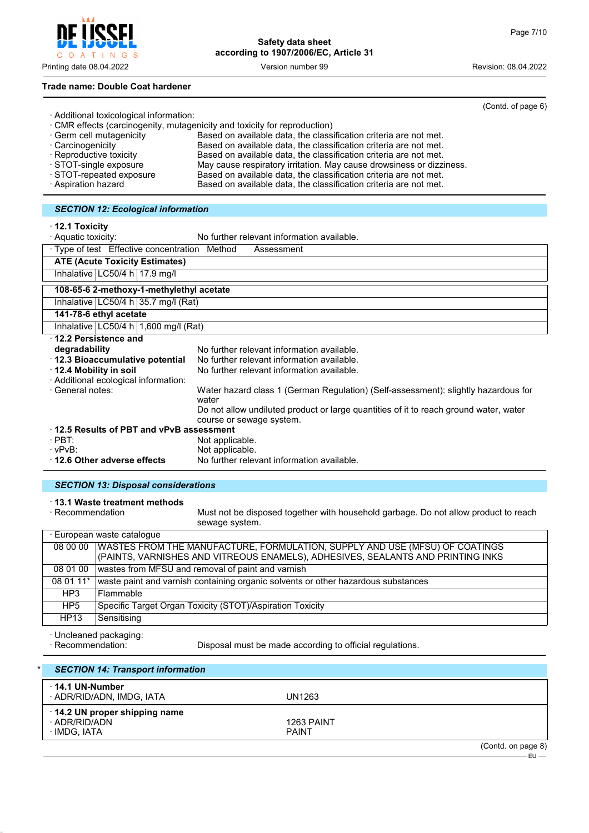Printing date 08.04.2022 Version number 99 Revision: 08.04.2022

# **Trade name: Double Coat hardener**

 $\mathsf{I} \mathsf{N}$  G

 $\circ$  $\overline{A}$  $T$ 

|                                           |                                                                           | (Contd. of page 6) |
|-------------------------------------------|---------------------------------------------------------------------------|--------------------|
| · Additional toxicological information:   |                                                                           |                    |
|                                           | · CMR effects (carcinogenity, mutagenicity and toxicity for reproduction) |                    |
| · Germ cell mutagenicity                  | Based on available data, the classification criteria are not met.         |                    |
| Carcinogenicity                           | Based on available data, the classification criteria are not met.         |                    |
| · Reproductive toxicity                   | Based on available data, the classification criteria are not met.         |                    |
| STOT-single exposure                      | May cause respiratory irritation. May cause drowsiness or dizziness.      |                    |
| STOT-repeated exposure                    | Based on available data, the classification criteria are not met.         |                    |
| · Aspiration hazard                       | Based on available data, the classification criteria are not met.         |                    |
|                                           |                                                                           |                    |
| <b>SECTION 12: Ecological information</b> |                                                                           |                    |

· **12.1 Toxicity**

| · Aquatic toxicity:                           | No further relevant information available.                                                                        |
|-----------------------------------------------|-------------------------------------------------------------------------------------------------------------------|
| · Type of test Effective concentration Method | Assessment                                                                                                        |
| <b>ATE (Acute Toxicity Estimates)</b>         |                                                                                                                   |
| Inhalative   LC50/4 h   17.9 mg/l             |                                                                                                                   |
| 108-65-6 2-methoxy-1-methylethyl acetate      |                                                                                                                   |
| Inhalative $ LC50/4 h 35.7 mg/l (Rat)$        |                                                                                                                   |
| 141-78-6 ethyl acetate                        |                                                                                                                   |
| Inhalative   LC50/4 h   1,600 mg/l (Rat)      |                                                                                                                   |
| 12.2 Persistence and                          |                                                                                                                   |
| degradability                                 | No further relevant information available.                                                                        |
| 12.3 Bioaccumulative potential                | No further relevant information available.                                                                        |
| ⋅ 12.4 Mobility in soil                       | No further relevant information available.                                                                        |
| · Additional ecological information:          |                                                                                                                   |
| · General notes:                              | Water hazard class 1 (German Regulation) (Self-assessment): slightly hazardous for<br>water                       |
|                                               | Do not allow undiluted product or large quantities of it to reach ground water, water<br>course or sewage system. |
| 12.5 Results of PBT and vPvB assessment       |                                                                                                                   |
| $\cdot$ PBT:                                  | Not applicable.                                                                                                   |
| · vPvB:                                       | Not applicable.                                                                                                   |
| 12.6 Other adverse effects                    | No further relevant information available.                                                                        |

# *SECTION 13: Disposal considerations*

· **13.1 Waste treatment methods**

Must not be disposed together with household garbage. Do not allow product to reach sewage system.

| · European waste cataloque |                                                                                                                                                                           |  |
|----------------------------|---------------------------------------------------------------------------------------------------------------------------------------------------------------------------|--|
|                            | 08 00 00   WASTES FROM THE MANUFACTURE, FORMULATION, SUPPLY AND USE (MFSU) OF COATINGS<br>(PAINTS, VARNISHES AND VITREOUS ENAMELS), ADHESIVES, SEALANTS AND PRINTING INKS |  |
| 08 01 00                   | wastes from MFSU and removal of paint and varnish                                                                                                                         |  |
|                            | 08 01 11* waste paint and varnish containing organic solvents or other hazardous substances                                                                               |  |
| HP3                        | l Flammable                                                                                                                                                               |  |
| HP5                        | Specific Target Organ Toxicity (STOT)/Aspiration Toxicity                                                                                                                 |  |
| HP13                       | Sensitising                                                                                                                                                               |  |

· Uncleaned packaging:

Disposal must be made according to official regulations.

|              | <b>SECTION 14: Transport information</b>            |                            |                    |
|--------------|-----------------------------------------------------|----------------------------|--------------------|
|              | $\cdot$ 14.1 UN-Number<br>· ADR/RID/ADN, IMDG, IATA | UN1263                     |                    |
| · IMDG, IATA | 14.2 UN proper shipping name<br>· ADR/RID/ADN       | 1263 PAINT<br><b>PAINT</b> |                    |
|              |                                                     |                            | (Contd. on page 8) |

EU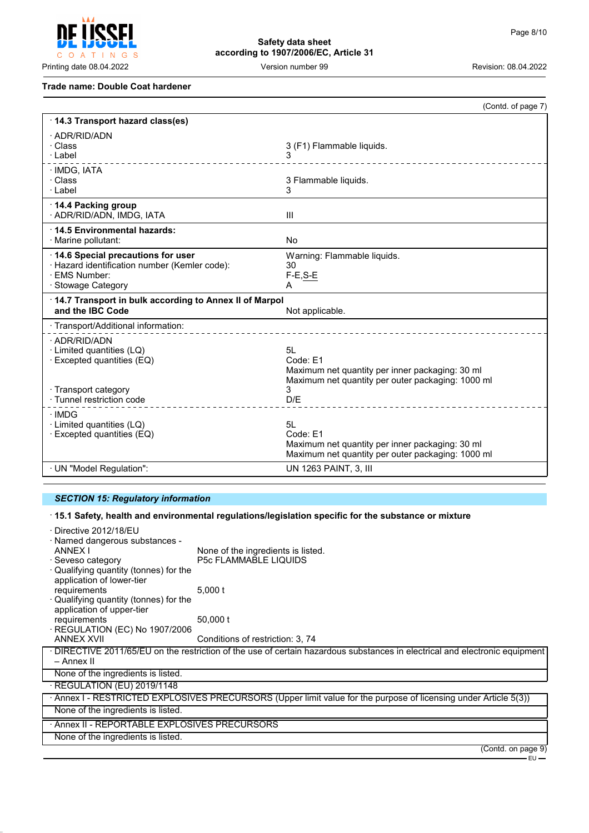$\mathsf{C}$ O A T INGS

# **Safety data sheet according to 1907/2006/EC, Article 31**

Printing date 08.04.2022 **Version number 99** Version number 99 Revision: 08.04.2022

## **Trade name: Double Coat hardener**

| 14.3 Transport hazard class(es)<br>· ADR/RID/ADN<br>3 (F1) Flammable liquids.<br>· Class<br>· Label<br>3<br>· IMDG, IATA<br>· Class<br>3 Flammable liquids.<br>· Label<br>3<br>⋅ 14.4 Packing group                                                                       |  |
|---------------------------------------------------------------------------------------------------------------------------------------------------------------------------------------------------------------------------------------------------------------------------|--|
|                                                                                                                                                                                                                                                                           |  |
|                                                                                                                                                                                                                                                                           |  |
|                                                                                                                                                                                                                                                                           |  |
| · ADR/RID/ADN, IMDG, IATA<br>III                                                                                                                                                                                                                                          |  |
| 14.5 Environmental hazards:<br><b>No</b><br>· Marine pollutant:                                                                                                                                                                                                           |  |
| 14.6 Special precautions for user<br>Warning: Flammable liquids.<br>· Hazard identification number (Kemler code):<br>30<br>· EMS Number:<br>$F-E, S-E$<br>· Stowage Category<br>A                                                                                         |  |
| 14.7 Transport in bulk according to Annex II of Marpol<br>and the IBC Code<br>Not applicable.                                                                                                                                                                             |  |
| · Transport/Additional information:                                                                                                                                                                                                                                       |  |
| · ADR/RID/ADN<br>51<br>· Limited quantities (LQ)<br>Code: E1<br>$\cdot$ Excepted quantities (EQ)<br>Maximum net quantity per inner packaging: 30 ml<br>Maximum net quantity per outer packaging: 1000 ml<br>3<br>· Transport category<br>· Tunnel restriction code<br>D/E |  |
| · IMDG<br>· Limited quantities (LQ)<br>5L<br>Code: F1<br>$\cdot$ Excepted quantities (EQ)<br>Maximum net quantity per inner packaging: 30 ml<br>Maximum net quantity per outer packaging: 1000 ml                                                                         |  |
| · UN "Model Regulation":<br>UN 1263 PAINT, 3, III                                                                                                                                                                                                                         |  |

# *SECTION 15: Regulatory information*

· **15.1 Safety, health and environmental regulations/legislation specific for the substance or mixture**

| · Directive 2012/18/EU<br>· Named dangerous substances -<br>ANNEX I<br>· Seveso category<br>Qualifying quantity (tonnes) for the<br>application of lower-tier | None of the ingredients is listed.<br><b>P5c FLAMMABLE LIQUIDS</b>                                                          |
|---------------------------------------------------------------------------------------------------------------------------------------------------------------|-----------------------------------------------------------------------------------------------------------------------------|
| requirements                                                                                                                                                  | 5,000 t                                                                                                                     |
| Qualifying quantity (tonnes) for the<br>application of upper-tier                                                                                             |                                                                                                                             |
| requirements                                                                                                                                                  | 50,000 t                                                                                                                    |
| $\cdot$ REGULATION (EC) No 1907/2006                                                                                                                          |                                                                                                                             |
| <b>ANNEX XVII</b>                                                                                                                                             | Conditions of restriction: 3, 74                                                                                            |
| – Annex II                                                                                                                                                    | · DIRECTIVE 2011/65/EU on the restriction of the use of certain hazardous substances in electrical and electronic equipment |
| None of the ingredients is listed.                                                                                                                            |                                                                                                                             |
| $\cdot$ REGULATION (EU) 2019/1148                                                                                                                             |                                                                                                                             |
|                                                                                                                                                               | · Annex I - RESTRICTED EXPLOSIVES PRECURSORS (Upper limit value for the purpose of licensing under Article 5(3))            |
| None of the ingredients is listed.                                                                                                                            |                                                                                                                             |
| Annex II - REPORTABLE EXPLOSIVES PRECURSORS                                                                                                                   |                                                                                                                             |
| None of the ingredients is listed.                                                                                                                            |                                                                                                                             |
|                                                                                                                                                               | (Contd. on page 9)                                                                                                          |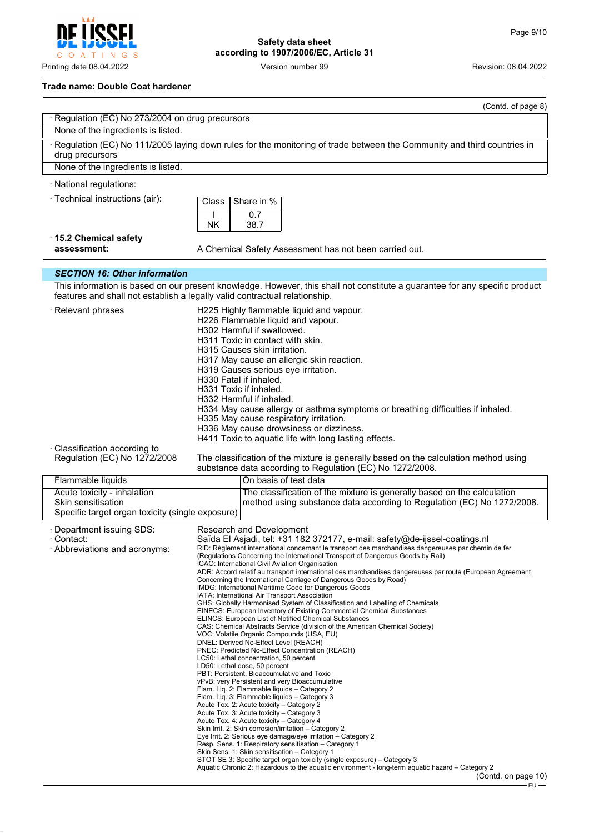# **Trade name: Double Coat hardener**

|                                                                        | (Contd. of page 8)                                                                                                                                                                                                                                                                                                                                                                                                                                                                                                                                                                                                                                                                                                                                                                                                                                                                                                                                                                                                                                                                                                                                                                                                                                                                                                                                                                                                                                                                                                                                                                                                                                                                                                                                                                                                                                                                                                                                   |
|------------------------------------------------------------------------|------------------------------------------------------------------------------------------------------------------------------------------------------------------------------------------------------------------------------------------------------------------------------------------------------------------------------------------------------------------------------------------------------------------------------------------------------------------------------------------------------------------------------------------------------------------------------------------------------------------------------------------------------------------------------------------------------------------------------------------------------------------------------------------------------------------------------------------------------------------------------------------------------------------------------------------------------------------------------------------------------------------------------------------------------------------------------------------------------------------------------------------------------------------------------------------------------------------------------------------------------------------------------------------------------------------------------------------------------------------------------------------------------------------------------------------------------------------------------------------------------------------------------------------------------------------------------------------------------------------------------------------------------------------------------------------------------------------------------------------------------------------------------------------------------------------------------------------------------------------------------------------------------------------------------------------------------|
| · Regulation (EC) No 273/2004 on drug precursors                       |                                                                                                                                                                                                                                                                                                                                                                                                                                                                                                                                                                                                                                                                                                                                                                                                                                                                                                                                                                                                                                                                                                                                                                                                                                                                                                                                                                                                                                                                                                                                                                                                                                                                                                                                                                                                                                                                                                                                                      |
| None of the ingredients is listed.                                     |                                                                                                                                                                                                                                                                                                                                                                                                                                                                                                                                                                                                                                                                                                                                                                                                                                                                                                                                                                                                                                                                                                                                                                                                                                                                                                                                                                                                                                                                                                                                                                                                                                                                                                                                                                                                                                                                                                                                                      |
| drug precursors                                                        | · Regulation (EC) No 111/2005 laying down rules for the monitoring of trade between the Community and third countries in                                                                                                                                                                                                                                                                                                                                                                                                                                                                                                                                                                                                                                                                                                                                                                                                                                                                                                                                                                                                                                                                                                                                                                                                                                                                                                                                                                                                                                                                                                                                                                                                                                                                                                                                                                                                                             |
| None of the ingredients is listed.                                     |                                                                                                                                                                                                                                                                                                                                                                                                                                                                                                                                                                                                                                                                                                                                                                                                                                                                                                                                                                                                                                                                                                                                                                                                                                                                                                                                                                                                                                                                                                                                                                                                                                                                                                                                                                                                                                                                                                                                                      |
| · National regulations:                                                |                                                                                                                                                                                                                                                                                                                                                                                                                                                                                                                                                                                                                                                                                                                                                                                                                                                                                                                                                                                                                                                                                                                                                                                                                                                                                                                                                                                                                                                                                                                                                                                                                                                                                                                                                                                                                                                                                                                                                      |
| · Technical instructions (air):                                        | Share in %<br>Class<br>0.7<br>NK<br>38.7                                                                                                                                                                                                                                                                                                                                                                                                                                                                                                                                                                                                                                                                                                                                                                                                                                                                                                                                                                                                                                                                                                                                                                                                                                                                                                                                                                                                                                                                                                                                                                                                                                                                                                                                                                                                                                                                                                             |
| $\cdot$ 15.2 Chemical safety<br>assessment:                            | A Chemical Safety Assessment has not been carried out.                                                                                                                                                                                                                                                                                                                                                                                                                                                                                                                                                                                                                                                                                                                                                                                                                                                                                                                                                                                                                                                                                                                                                                                                                                                                                                                                                                                                                                                                                                                                                                                                                                                                                                                                                                                                                                                                                               |
|                                                                        |                                                                                                                                                                                                                                                                                                                                                                                                                                                                                                                                                                                                                                                                                                                                                                                                                                                                                                                                                                                                                                                                                                                                                                                                                                                                                                                                                                                                                                                                                                                                                                                                                                                                                                                                                                                                                                                                                                                                                      |
| <b>SECTION 16: Other information</b>                                   | This information is based on our present knowledge. However, this shall not constitute a guarantee for any specific product                                                                                                                                                                                                                                                                                                                                                                                                                                                                                                                                                                                                                                                                                                                                                                                                                                                                                                                                                                                                                                                                                                                                                                                                                                                                                                                                                                                                                                                                                                                                                                                                                                                                                                                                                                                                                          |
|                                                                        | features and shall not establish a legally valid contractual relationship.                                                                                                                                                                                                                                                                                                                                                                                                                                                                                                                                                                                                                                                                                                                                                                                                                                                                                                                                                                                                                                                                                                                                                                                                                                                                                                                                                                                                                                                                                                                                                                                                                                                                                                                                                                                                                                                                           |
| · Relevant phrases                                                     | H225 Highly flammable liquid and vapour.<br>H226 Flammable liquid and vapour.<br>H302 Harmful if swallowed.<br>H311 Toxic in contact with skin.<br>H315 Causes skin irritation.<br>H317 May cause an allergic skin reaction.<br>H319 Causes serious eye irritation.<br>H330 Fatal if inhaled.<br>H331 Toxic if inhaled.<br>H332 Harmful if inhaled.<br>H334 May cause allergy or asthma symptoms or breathing difficulties if inhaled.<br>H335 May cause respiratory irritation.<br>H336 May cause drowsiness or dizziness.<br>H411 Toxic to aquatic life with long lasting effects.                                                                                                                                                                                                                                                                                                                                                                                                                                                                                                                                                                                                                                                                                                                                                                                                                                                                                                                                                                                                                                                                                                                                                                                                                                                                                                                                                                 |
| · Classification according to<br>Regulation (EC) No 1272/2008          | The classification of the mixture is generally based on the calculation method using                                                                                                                                                                                                                                                                                                                                                                                                                                                                                                                                                                                                                                                                                                                                                                                                                                                                                                                                                                                                                                                                                                                                                                                                                                                                                                                                                                                                                                                                                                                                                                                                                                                                                                                                                                                                                                                                 |
| Flammable liquids                                                      | substance data according to Regulation (EC) No 1272/2008.<br>On basis of test data                                                                                                                                                                                                                                                                                                                                                                                                                                                                                                                                                                                                                                                                                                                                                                                                                                                                                                                                                                                                                                                                                                                                                                                                                                                                                                                                                                                                                                                                                                                                                                                                                                                                                                                                                                                                                                                                   |
| Acute toxicity - inhalation                                            | The classification of the mixture is generally based on the calculation                                                                                                                                                                                                                                                                                                                                                                                                                                                                                                                                                                                                                                                                                                                                                                                                                                                                                                                                                                                                                                                                                                                                                                                                                                                                                                                                                                                                                                                                                                                                                                                                                                                                                                                                                                                                                                                                              |
| Skin sensitisation<br>Specific target organ toxicity (single exposure) | method using substance data according to Regulation (EC) No 1272/2008.                                                                                                                                                                                                                                                                                                                                                                                                                                                                                                                                                                                                                                                                                                                                                                                                                                                                                                                                                                                                                                                                                                                                                                                                                                                                                                                                                                                                                                                                                                                                                                                                                                                                                                                                                                                                                                                                               |
| · Department issuing SDS:<br>· Abbreviations and acronyms:             | Research and Development<br>Saïda El Asjadi, tel: +31 182 372177, e-mail: safety@de-ijssel-coatings.nl<br>RID: Règlement international concernant le transport des marchandises dangereuses par chemin de fer<br>(Regulations Concerning the International Transport of Dangerous Goods by Rail)<br>ICAO: International Civil Aviation Organisation<br>ADR: Accord relatif au transport international des marchandises dangereuses par route (European Agreement<br>Concerning the International Carriage of Dangerous Goods by Road)<br>IMDG: International Maritime Code for Dangerous Goods<br>IATA: International Air Transport Association<br>GHS: Globally Harmonised System of Classification and Labelling of Chemicals<br>EINECS: European Inventory of Existing Commercial Chemical Substances<br>ELINCS: European List of Notified Chemical Substances<br>CAS: Chemical Abstracts Service (division of the American Chemical Society)<br>VOC: Volatile Organic Compounds (USA, EU)<br>DNEL: Derived No-Effect Level (REACH)<br>PNEC: Predicted No-Effect Concentration (REACH)<br>LC50: Lethal concentration, 50 percent<br>LD50: Lethal dose, 50 percent<br>PBT: Persistent, Bioaccumulative and Toxic<br>vPvB: very Persistent and very Bioaccumulative<br>Flam. Lig. 2: Flammable liquids - Category 2<br>Flam. Lig. 3: Flammable liquids - Category 3<br>Acute Tox. 2: Acute toxicity - Category 2<br>Acute Tox. 3: Acute toxicity – Category 3<br>Acute Tox. 4: Acute toxicity - Category 4<br>Skin Irrit. 2: Skin corrosion/irritation - Category 2<br>Eye Irrit. 2: Serious eye damage/eye irritation - Category 2<br>Resp. Sens. 1: Respiratory sensitisation - Category 1<br>Skin Sens. 1: Skin sensitisation - Category 1<br>STOT SE 3: Specific target organ toxicity (single exposure) – Category 3<br>Aquatic Chronic 2: Hazardous to the aquatic environment - long-term aquatic hazard – Category 2<br>(Contd. on page 10) |



Printing date 08.04.2022 **Version number 99** Version number 99 Revision: 08.04.2022